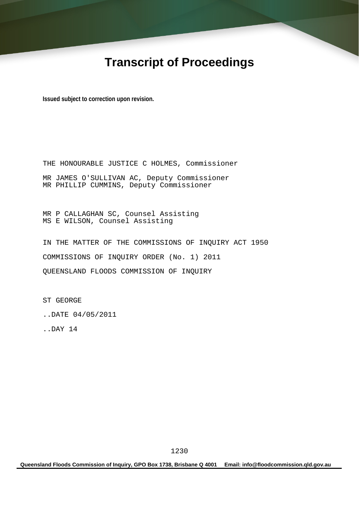# **Transcript of Proceedings**

**Issued subject to correction upon revision.** 

THE HONOURABLE JUSTICE C HOLMES, Commissioner MR JAMES O'SULLIVAN AC, Deputy Commissioner MR PHILLIP CUMMINS, Deputy Commissioner

MR P CALLAGHAN SC, Counsel Assisting MS E WILSON, Counsel Assisting

IN THE MATTER OF THE COMMISSIONS OF INQUIRY ACT 1950 COMMISSIONS OF INQUIRY ORDER (No. 1) 2011 QUEENSLAND FLOODS COMMISSION OF INQUIRY

ST GEORGE

..DATE 04/05/2011

..DAY 14

**Queensland Floods Commission of Inquiry, GPO Box 1738, Brisbane Q 4001 Email: info@floodcommission.qld.gov.au**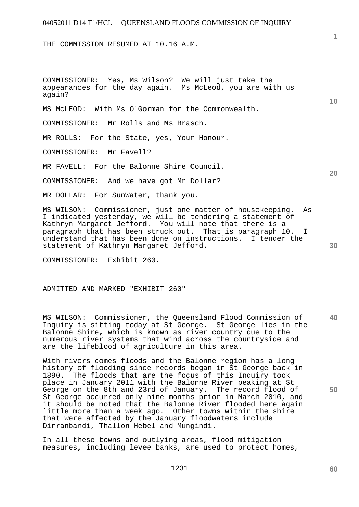THE COMMISSION RESUMED AT 10.16 A.M.

COMMISSIONER: Yes, Ms Wilson? We will just take the appearances for the day again. Ms McLeod, you are with us again? MS McLEOD: With Ms O'Gorman for the Commonwealth. COMMISSIONER: Mr Rolls and Ms Brasch. MR ROLLS: For the State, yes, Your Honour. COMMISSIONER: Mr Favell? MR FAVELL: For the Balonne Shire Council. COMMISSIONER: And we have got Mr Dollar?

MR DOLLAR: For SunWater, thank you.

MS WILSON: Commissioner, just one matter of housekeeping. As I indicated yesterday, we will be tendering a statement of Kathryn Margaret Jefford. You will note that there is a paragraph that has been struck out. That is paragraph 10. I understand that has been done on instructions. I tender the statement of Kathryn Margaret Jefford.

COMMISSIONER: Exhibit 260.

ADMITTED AND MARKED "EXHIBIT 260"

MS WILSON: Commissioner, the Queensland Flood Commission of Inquiry is sitting today at St George. St George lies in the Balonne Shire, which is known as river country due to the numerous river systems that wind across the countryside and are the lifeblood of agriculture in this area.

With rivers comes floods and the Balonne region has a long history of flooding since records began in St George back in 1890. The floods that are the focus of this Inquiry took place in January 2011 with the Balonne River peaking at St George on the 8th and 23rd of January. The record flood of St George occurred only nine months prior in March 2010, and it should be noted that the Balonne River flooded here again little more than a week ago. Other towns within the shire that were affected by the January floodwaters include Dirranbandi, Thallon Hebel and Mungindi.

In all these towns and outlying areas, flood mitigation measures, including levee banks, are used to protect homes, **1**

**10** 

**20** 

**30** 

**40**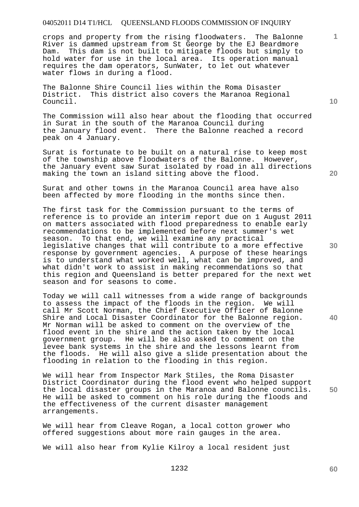crops and property from the rising floodwaters. The Balonne River is dammed upstream from St George by the EJ Beardmore Dam. This dam is not built to mitigate floods but simply to hold water for use in the local area. Its operation manual requires the dam operators, SunWater, to let out whatever water flows in during a flood.

The Balonne Shire Council lies within the Roma Disaster District. This district also covers the Maranoa Regional Council.

The Commission will also hear about the flooding that occurred in Surat in the south of the Maranoa Council during the January flood event. There the Balonne reached a record peak on 4 January.

Surat is fortunate to be built on a natural rise to keep most of the township above floodwaters of the Balonne. However, the January event saw Surat isolated by road in all directions making the town an island sitting above the flood.

Surat and other towns in the Maranoa Council area have also been affected by more flooding in the months since then.

The first task for the Commission pursuant to the terms of reference is to provide an interim report due on 1 August 2011 on matters associated with flood preparedness to enable early recommendations to be implemented before next summer's wet season. To that end, we will examine any practical legislative changes that will contribute to a more effective response by government agencies. A purpose of these hearings is to understand what worked well, what can be improved, and what didn't work to assist in making recommendations so that this region and Queensland is better prepared for the next wet season and for seasons to come.

Today we will call witnesses from a wide range of backgrounds to assess the impact of the floods in the region. We will call Mr Scott Norman, the Chief Executive Officer of Balonne Shire and Local Disaster Coordinator for the Balonne region. Mr Norman will be asked to comment on the overview of the flood event in the shire and the action taken by the local government group. He will be also asked to comment on the levee bank systems in the shire and the lessons learnt from the floods. He will also give a slide presentation about the flooding in relation to the flooding in this region.

We will hear from Inspector Mark Stiles, the Roma Disaster District Coordinator during the flood event who helped support the local disaster groups in the Maranoa and Balonne councils. He will be asked to comment on his role during the floods and the effectiveness of the current disaster management arrangements.

We will hear from Cleave Rogan, a local cotton grower who offered suggestions about more rain gauges in the area.

We will also hear from Kylie Kilroy a local resident just

**10** 

**1**

**20** 

**30** 

**40** 

**50**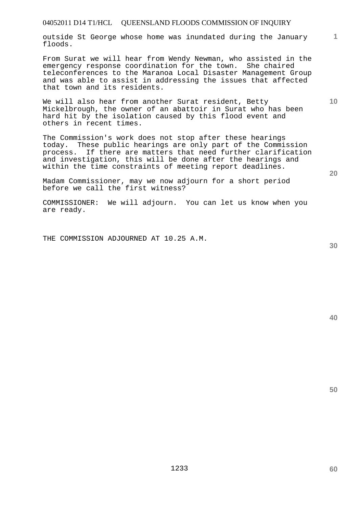outside St George whose home was inundated during the January floods.

From Surat we will hear from Wendy Newman, who assisted in the emergency response coordination for the town. She chaired teleconferences to the Maranoa Local Disaster Management Group and was able to assist in addressing the issues that affected that town and its residents.

We will also hear from another Surat resident, Betty Mickelbrough, the owner of an abattoir in Surat who has been hard hit by the isolation caused by this flood event and others in recent times.

The Commission's work does not stop after these hearings today. These public hearings are only part of the Commission process. If there are matters that need further clarification and investigation, this will be done after the hearings and within the time constraints of meeting report deadlines.

Madam Commissioner, may we now adjourn for a short period before we call the first witness?

COMMISSIONER: We will adjourn. You can let us know when you are ready.

THE COMMISSION ADJOURNED AT 10.25 A.M.

**30** 

**20** 

**50** 

**1**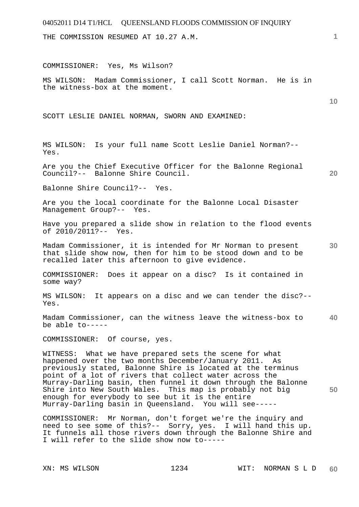THE COMMISSION RESUMED AT 10.27 A.M.

COMMISSIONER: Yes, Ms Wilson?

MS WILSON: Madam Commissioner, I call Scott Norman. He is in the witness-box at the moment.

SCOTT LESLIE DANIEL NORMAN, SWORN AND EXAMINED:

MS WILSON: Is your full name Scott Leslie Daniel Norman?-- Yes.

Are you the Chief Executive Officer for the Balonne Regional Council?-- Balonne Shire Council.

Balonne Shire Council?-- Yes.

Are you the local coordinate for the Balonne Local Disaster Management Group?-- Yes.

Have you prepared a slide show in relation to the flood events of 2010/2011?-- Yes.

**30**  Madam Commissioner, it is intended for Mr Norman to present that slide show now, then for him to be stood down and to be recalled later this afternoon to give evidence.

COMMISSIONER: Does it appear on a disc? Is it contained in some way?

MS WILSON: It appears on a disc and we can tender the disc?-- Yes.

**40**  Madam Commissioner, can the witness leave the witness-box to be able to-----

COMMISSIONER: Of course, yes.

WITNESS: What we have prepared sets the scene for what happened over the two months December/January 2011. As previously stated, Balonne Shire is located at the terminus point of a lot of rivers that collect water across the Murray-Darling basin, then funnel it down through the Balonne Shire into New South Wales. This map is probably not big enough for everybody to see but it is the entire Murray-Darling basin in Queensland. You will see-----

COMMISSIONER: Mr Norman, don't forget we're the inquiry and need to see some of this?-- Sorry, yes. I will hand this up. It funnels all those rivers down through the Balonne Shire and I will refer to the slide show now to-----

**1**

**10** 

**20**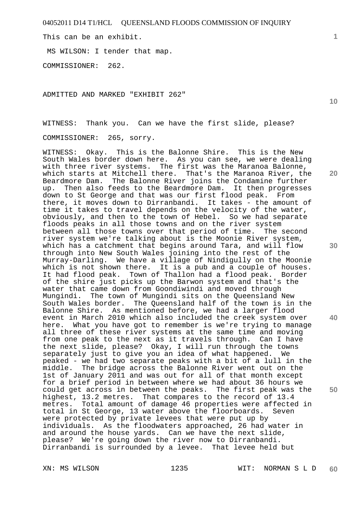This can be an exhibit.

MS WILSON: I tender that map.

COMMISSIONER: 262.

ADMITTED AND MARKED "EXHIBIT 262"

WITNESS: Thank you. Can we have the first slide, please?

COMMISSIONER: 265, sorry.

WITNESS: Okay. This is the Balonne Shire. This is the New South Wales border down here. As you can see, we were dealing with three river systems. The first was the Maranoa Balonne, which starts at Mitchell there. That's the Maranoa River, the Beardmore Dam. The Balonne River joins the Condamine further up. Then also feeds to the Beardmore Dam. It then progresses down to St George and that was our first flood peak. From there, it moves down to Dirranbandi. It takes - the amount of time it takes to travel depends on the velocity of the water, obviously, and then to the town of Hebel. So we had separate floods peaks in all those towns and on the river system between all those towns over that period of time. The second river system we're talking about is the Moonie River system, which has a catchment that begins around Tara, and will flow through into New South Wales joining into the rest of the Murray-Darling. We have a village of Nindigully on the Moonie which is not shown there. It is a pub and a couple of houses. It had flood peak. Town of Thallon had a flood peak. Border of the shire just picks up the Barwon system and that's the water that came down from Goondiwindi and moved through Mungindi. The town of Mungindi sits on the Queensland New South Wales border. The Queensland half of the town is in the Balonne Shire. As mentioned before, we had a larger flood event in March 2010 which also included the creek system over here. What you have got to remember is we're trying to manage all three of these river systems at the same time and moving from one peak to the next as it travels through. Can I have the next slide, please? Okay, I will run through the towns separately just to give you an idea of what happened. We peaked - we had two separate peaks with a bit of a lull in the middle. The bridge across the Balonne River went out on the 1st of January 2011 and was out for all of that month except for a brief period in between where we had about 36 hours we could get across in between the peaks. The first peak was the highest, 13.2 metres. That compares to the record of 13.4 metres. Total amount of damage 46 properties were affected in total in St George, 13 water above the floorboards. Seven were protected by private levees that were put up by individuals. As the floodwaters approached, 26 had water in and around the house yards. Can we have the next slide, please? We're going down the river now to Dirranbandi. Dirranbandi is surrounded by a levee. That levee held but

**1**

**20** 

**30** 

**40**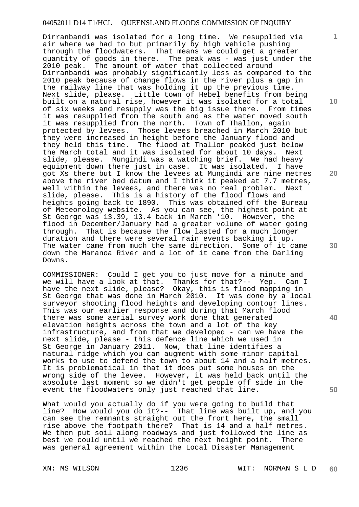Dirranbandi was isolated for a long time. We resupplied via air where we had to but primarily by high vehicle pushing through the floodwaters. That means we could get a greater quantity of goods in there. The peak was - was just under the 2010 peak. The amount of water that collected around Dirranbandi was probably significantly less as compared to the 2010 peak because of change flows in the river plus a gap in the railway line that was holding it up the previous time. Next slide, please. Little town of Hebel benefits from being built on a natural rise, however it was isolated for a total of six weeks and resupply was the big issue there. From times it was resupplied from the south and as the water moved south it was resupplied from the north. Town of Thallon, again protected by levees. Those levees breached in March 2010 but they were increased in height before the January flood and they held this time. The flood at Thallon peaked just below the March total and it was isolated for about 10 days. Next slide, please. Mungindi was a watching brief. We had heavy equipment down there just in case. It was isolated. I have got Xs there but I know the levees at Mungindi are nine metres above the river bed datum and I think it peaked at 7.7 metres, well within the levees, and there was no real problem. Next slide, please. This is a history of the flood flows and heights going back to 1890. This was obtained off the Bureau of Meteorology website. As you can see, the highest point at St George was 13.39, 13.4 back in March '10. However, the flood in December/January had a greater volume of water going through. That is because the flow lasted for a much longer duration and there were several rain events backing it up. The water came from much the same direction. Some of it came down the Maranoa River and a lot of it came from the Darling Downs.

COMMISSIONER: Could I get you to just move for a minute and we will have a look at that. Thanks for that?-- Yep. Can I have the next slide, please? Okay, this is flood mapping in St George that was done in March 2010. It was done by a local surveyor shooting flood heights and developing contour lines. This was our earlier response and during that March flood there was some aerial survey work done that generated elevation heights across the town and a lot of the key infrastructure, and from that we developed - can we have the next slide, please - this defence line which we used in St George in January 2011. Now, that line identifies a natural ridge which you can augment with some minor capital works to use to defend the town to about 14 and a half metres. It is problematical in that it does put some houses on the wrong side of the levee. However, it was held back until the absolute last moment so we didn't get people off side in the event the floodwaters only just reached that line.

What would you actually do if you were going to build that line? How would you do it?-- That line was built up, and you can see the remnants straight out the front here, the small rise above the footpath there? That is 14 and a half metres. We then put soil along roadways and just followed the line as best we could until we reached the next height point. There was general agreement within the Local Disaster Management

**10** 

**1**

**20** 

**30** 

**40**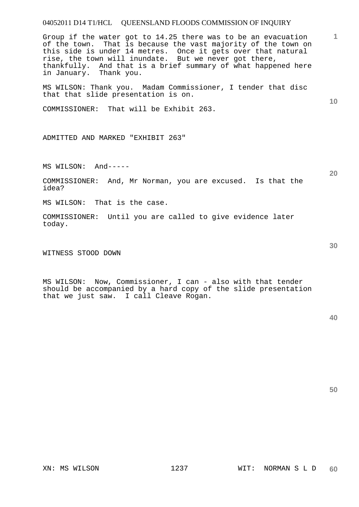Group if the water got to 14.25 there was to be an evacuation of the town. That is because the vast majority of the town on this side is under 14 metres. Once it gets over that natural rise, the town will inundate. But we never got there, thankfully. And that is a brief summary of what happened here in January. Thank you.

MS WILSON: Thank you. Madam Commissioner, I tender that disc that that slide presentation is on.

COMMISSIONER: That will be Exhibit 263.

ADMITTED AND MARKED "EXHIBIT 263"

MS WILSON: And-----

COMMISSIONER: And, Mr Norman, you are excused. Is that the idea?

MS WILSON: That is the case.

COMMISSIONER: Until you are called to give evidence later today.

WITNESS STOOD DOWN

MS WILSON: Now, Commissioner, I can - also with that tender should be accompanied by a hard copy of the slide presentation that we just saw. I call Cleave Rogan.

**50** 

**10** 

**1**

**20**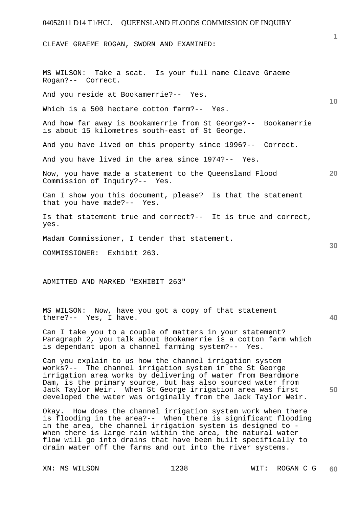CLEAVE GRAEME ROGAN, SWORN AND EXAMINED:

MS WILSON: Take a seat. Is your full name Cleave Graeme Rogan?-- Correct. And you reside at Bookamerrie?-- Yes. Which is a 500 hectare cotton farm?-- Yes.

And how far away is Bookamerrie from St George?-- Bookamerrie is about 15 kilometres south-east of St George.

And you have lived on this property since 1996?-- Correct.

And you have lived in the area since 1974?-- Yes.

**20**  Now, you have made a statement to the Queensland Flood Commission of Inquiry?-- Yes.

Can I show you this document, please? Is that the statement that you have made?-- Yes.

Is that statement true and correct?-- It is true and correct, yes.

Madam Commissioner, I tender that statement.

COMMISSIONER: Exhibit 263.

ADMITTED AND MARKED "EXHIBIT 263"

MS WILSON: Now, have you got a copy of that statement there?-- Yes, I have.

Can I take you to a couple of matters in your statement? Paragraph 2, you talk about Bookamerrie is a cotton farm which is dependant upon a channel farming system?-- Yes.

Can you explain to us how the channel irrigation system works?-- The channel irrigation system in the St George irrigation area works by delivering of water from Beardmore Dam, is the primary source, but has also sourced water from Jack Taylor Weir. When St George irrigation area was first developed the water was originally from the Jack Taylor Weir.

Okay. How does the channel irrigation system work when there is flooding in the area?-- When there is significant flooding in the area, the channel irrigation system is designed to when there is large rain within the area, the natural water flow will go into drains that have been built specifically to drain water off the farms and out into the river systems.

**1**

**10** 

**40** 

**50**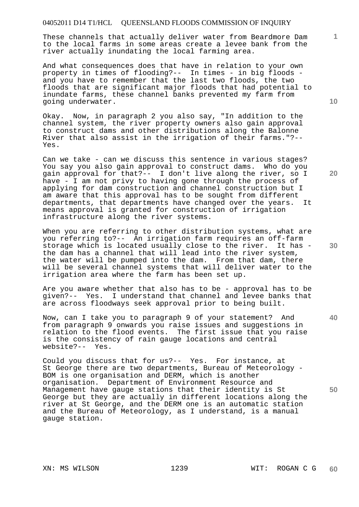These channels that actually deliver water from Beardmore Dam to the local farms in some areas create a levee bank from the river actually inundating the local farming area.

And what consequences does that have in relation to your own property in times of flooding?-- In times - in big floods and you have to remember that the last two floods, the two floods that are significant major floods that had potential to inundate farms, these channel banks prevented my farm from going underwater.

Okay. Now, in paragraph 2 you also say, "In addition to the channel system, the river property owners also gain approval to construct dams and other distributions along the Balonne River that also assist in the irrigation of their farms."?-- Yes.

Can we take - can we discuss this sentence in various stages? You say you also gain approval to construct dams. Who do you gain approval for that?-- I don't live along the river, so I have - I am not privy to having gone through the process of applying for dam construction and channel construction but I am aware that this approval has to be sought from different departments, that departments have changed over the years. It means approval is granted for construction of irrigation infrastructure along the river systems.

When you are referring to other distribution systems, what are you referring to?-- An irrigation farm requires an off-farm storage which is located usually close to the river. It has the dam has a channel that will lead into the river system, the water will be pumped into the dam. From that dam, there will be several channel systems that will deliver water to the irrigation area where the farm has been set up.

Are you aware whether that also has to be - approval has to be given?-- Yes. I understand that channel and levee banks that are across floodways seek approval prior to being built.

Now, can I take you to paragraph 9 of your statement? And from paragraph 9 onwards you raise issues and suggestions in relation to the flood events. The first issue that you raise is the consistency of rain gauge locations and central website?-- Yes.

Could you discuss that for us?-- Yes. For instance, at St George there are two departments, Bureau of Meteorology - BOM is one organisation and DERM, which is another organisation. Department of Environment Resource and Management have gauge stations that their identity is St George but they are actually in different locations along the river at St George, and the DERM one is an automatic station and the Bureau of Meteorology, as I understand, is a manual gauge station.

**10** 

**1**

**20** 

**40**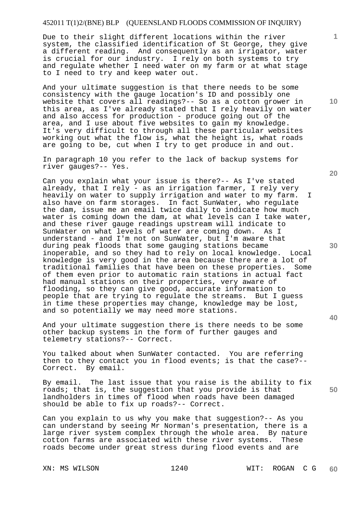Due to their slight different locations within the river system, the classified identification of St George, they give a different reading. And consequently as an irrigator, water is crucial for our industry. I rely on both systems to try and regulate whether I need water on my farm or at what stage to I need to try and keep water out.

And your ultimate suggestion is that there needs to be some consistency with the gauge location's ID and possibly one website that covers all readings?-- So as a cotton grower in this area, as I've already stated that I rely heavily on water and also access for production - produce going out of the area, and I use about five websites to gain my knowledge. It's very difficult to through all these particular websites working out what the flow is, what the height is, what roads are going to be, cut when I try to get produce in and out.

In paragraph 10 you refer to the lack of backup systems for river gauges?-- Yes.

Can you explain what your issue is there?-- As I've stated already, that I rely - as an irrigation farmer, I rely very heavily on water to supply irrigation and water to my farm. I also have on farm storages. In fact SunWater, who regulate the dam, issue me an email twice daily to indicate how much water is coming down the dam, at what levels can I take water, and these river gauge readings upstream will indicate to SunWater on what levels of water are coming down. As I understand - and I'm not on SunWater, but I'm aware that during peak floods that some gauging stations became inoperable, and so they had to rely on local knowledge. Local knowledge is very good in the area because there are a lot of<br>traditional families that have been on these properties. Some traditional families that have been on these properties. of them even prior to automatic rain stations in actual fact had manual stations on their properties, very aware of flooding, so they can give good, accurate information to people that are trying to regulate the streams. But I guess in time these properties may change, knowledge may be lost, and so potentially we may need more stations.

And your ultimate suggestion there is there needs to be some other backup systems in the form of further gauges and telemetry stations?-- Correct.

You talked about when SunWater contacted. You are referring then to they contact you in flood events; is that the case?--Correct. By email.

By email. The last issue that you raise is the ability to fix roads; that is, the suggestion that you provide is that landholders in times of flood when roads have been damaged should be able to fix up roads?-- Correct.

Can you explain to us why you make that suggestion?-- As you can understand by seeing Mr Norman's presentation, there is a large river system complex through the whole area. By nature cotton farms are associated with these river systems. These roads become under great stress during flood events and are

**20** 

**1**

**10** 

**30** 

**50**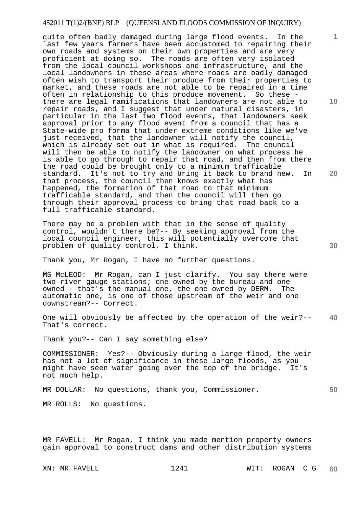quite often badly damaged during large flood events. In the last few years farmers have been accustomed to repairing their own roads and systems on their own properties and are very proficient at doing so. The roads are often very isolated from the local council workshops and infrastructure, and the local landowners in these areas where roads are badly damaged often wish to transport their produce from their properties to market, and these roads are not able to be repaired in a time often in relationship to this produce movement. So these there are legal ramifications that landowners are not able to repair roads, and I suggest that under natural disasters, in particular in the last two flood events, that landowners seek approval prior to any flood event from a council that has a State-wide pro forma that under extreme conditions like we've just received, that the landowner will notify the council, which is already set out in what is required. The council will then be able to notify the landowner on what process he is able to go through to repair that road, and then from there the road could be brought only to a minimum trafficable standard. It's not to try and bring it back to brand new. In that process, the council then knows exactly what has happened, the formation of that road to that minimum trafficable standard, and then the council will then go through their approval process to bring that road back to a full trafficable standard.

There may be a problem with that in the sense of quality control, wouldn't there be?-- By seeking approval from the local council engineer, this will potentially overcome that problem of quality control, I think.

Thank you, Mr Rogan, I have no further questions.

MS McLEOD: Mr Rogan, can I just clarify. You say there were two river gauge stations; one owned by the bureau and one owned - that's the manual one, the one owned by DERM. The automatic one, is one of those upstream of the weir and one downstream?-- Correct.

**40**  One will obviously be affected by the operation of the weir?-- That's correct.

Thank you?-- Can I say something else?

COMMISSIONER: Yes?-- Obviously during a large flood, the weir has not a lot of significance in these large floods, as you might have seen water going over the top of the bridge. It's not much help.

MR DOLLAR: No questions, thank you, Commissioner.

MR ROLLS: No questions.

MR FAVELL: Mr Rogan, I think you made mention property owners gain approval to construct dams and other distribution systems

**10** 

**1**

**20**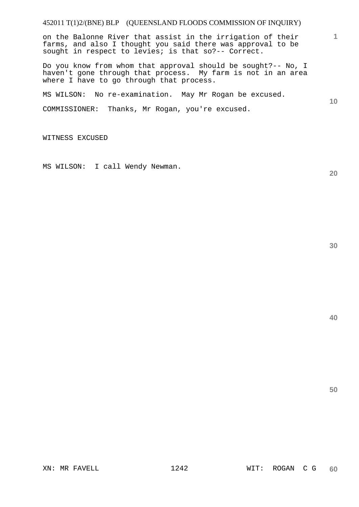on the Balonne River that assist in the irrigation of their farms, and also I thought you said there was approval to be sought in respect to levies; is that so?-- Correct.

Do you know from whom that approval should be sought?-- No, I haven't gone through that process. My farm is not in an area where I have to go through that process.

MS WILSON: No re-examination. May Mr Rogan be excused.

COMMISSIONER: Thanks, Mr Rogan, you're excused.

WITNESS EXCUSED

MS WILSON: I call Wendy Newman.

**30** 

**1**

**10** 

**20**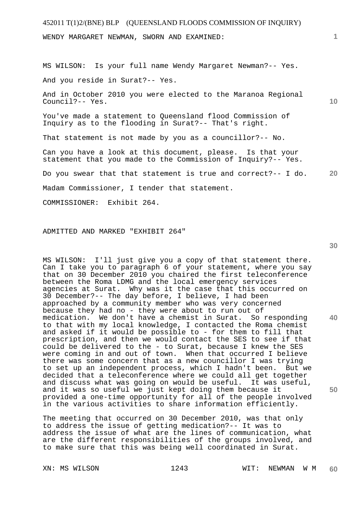# 452011 T(1)2/(BNE) BLP (QUEENSLAND FLOODS COMMISSION OF INQUIRY) WENDY MARGARET NEWMAN, SWORN AND EXAMINED:

MS WILSON: Is your full name Wendy Margaret Newman?-- Yes. And you reside in Surat?-- Yes.

And in October 2010 you were elected to the Maranoa Regional Council?-- Yes.

You've made a statement to Queensland flood Commission of Inquiry as to the flooding in Surat?-- That's right.

That statement is not made by you as a councillor?-- No.

Can you have a look at this document, please. Is that your statement that you made to the Commission of Inquiry?-- Yes.

**20**  Do you swear that that statement is true and correct?-- I do.

Madam Commissioner, I tender that statement.

COMMISSIONER: Exhibit 264.

#### ADMITTED AND MARKED "EXHIBIT 264"

MS WILSON: I'll just give you a copy of that statement there. Can I take you to paragraph 6 of your statement, where you say that on 30 December 2010 you chaired the first teleconference between the Roma LDMG and the local emergency services agencies at Surat. Why was it the case that this occurred on 30 December?-- The day before, I believe, I had been approached by a community member who was very concerned because they had no - they were about to run out of medication. We don't have a chemist in Surat. So responding to that with my local knowledge, I contacted the Roma chemist and asked if it would be possible to - for them to fill that prescription, and then we would contact the SES to see if that could be delivered to the - to Surat, because I knew the SES were coming in and out of town. When that occurred I believe there was some concern that as a new councillor I was trying to set up an independent process, which I hadn't been. But we decided that a teleconference where we could all get together and discuss what was going on would be useful. It was useful, and it was so useful we just kept doing them because it provided a one-time opportunity for all of the people involved in the various activities to share information efficiently.

The meeting that occurred on 30 December 2010, was that only to address the issue of getting medication?-- It was to address the issue of what are the lines of communication, what are the different responsibilities of the groups involved, and to make sure that this was being well coordinated in Surat.

**30** 

**40** 

**50** 

**10**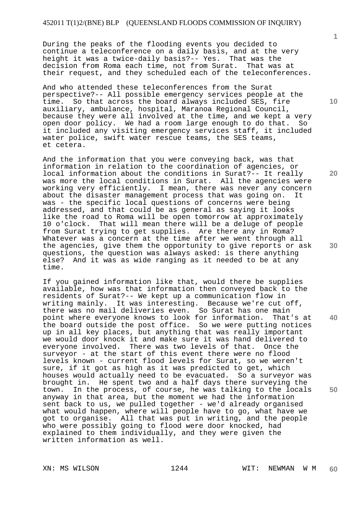During the peaks of the flooding events you decided to continue a teleconference on a daily basis, and at the very height it was a twice-daily basis?-- Yes. That was the decision from Roma each time, not from Surat. That was at their request, and they scheduled each of the teleconferences.

And who attended these teleconferences from the Surat perspective?-- All possible emergency services people at the time. So that across the board always included SES, fire auxiliary, ambulance, hospital, Maranoa Regional Council, because they were all involved at the time, and we kept a very open door policy. We had a room large enough to do that. So it included any visiting emergency services staff, it included water police, swift water rescue teams, the SES teams, et cetera.

And the information that you were conveying back, was that information in relation to the coordination of agencies, or local information about the conditions in Surat?-- It really was more the local conditions in Surat. All the agencies were working very efficiently. I mean, there was never any concern about the disaster management process that was going on. It was - the specific local questions of concerns were being addressed, and that could be as general as saying it looks like the road to Roma will be open tomorrow at approximately 10 o'clock. That will mean there will be a deluge of people from Surat trying to get supplies. Are there any in Roma? Whatever was a concern at the time after we went through all the agencies, give them the opportunity to give reports or ask questions, the question was always asked: is there anything else? And it was as wide ranging as it needed to be at any time.

If you gained information like that, would there be supplies available, how was that information then conveyed back to the residents of Surat?-- We kept up a communication flow in writing mainly. It was interesting. Because we're cut off, there was no mail deliveries even. So Surat has one main point where everyone knows to look for information. That's at the board outside the post office. So we were putting notices up in all key places, but anything that was really important we would door knock it and make sure it was hand delivered to everyone involved. There was two levels of that. Once the surveyor - at the start of this event there were no flood levels known - current flood levels for Surat, so we weren't sure, if it got as high as it was predicted to get, which houses would actually need to be evacuated. So a surveyor was brought in. He spent two and a half days there surveying the town. In the process, of course, he was talking to the locals anyway in that area, but the moment we had the information sent back to us, we pulled together - we'd already organised what would happen, where will people have to go, what have we got to organise. All that was put in writing, and the people who were possibly going to flood were door knocked, had explained to them individually, and they were given the written information as well.

**10** 

**1**

**20** 

**30** 

**40**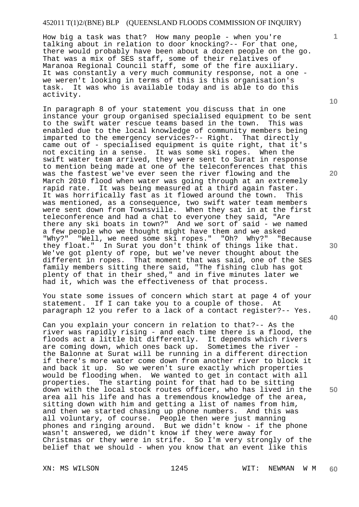How big a task was that? How many people - when you're talking about in relation to door knocking?-- For that one, there would probably have been about a dozen people on the go. That was a mix of SES staff, some of their relatives of Maranoa Regional Council staff, some of the fire auxiliary. It was constantly a very much community response, not a one we weren't looking in terms of this is this organisation's task. It was who is available today and is able to do this activity.

In paragraph 8 of your statement you discuss that in one instance your group organised specialised equipment to be sent to the swift water rescue teams based in the town. This was enabled due to the local knowledge of community members being imparted to the emergency services?-- Right. That directly came out of - specialised equipment is quite right, that it's not exciting in a sense. It was some ski ropes. When the swift water team arrived, they were sent to Surat in response to mention being made at one of the teleconferences that this was the fastest we've ever seen the river flowing and the March 2010 flood when water was going through at an extremely rapid rate. It was being measured at a third again faster. It was horrifically fast as it flowed around the town. This was mentioned, as a consequence, two swift water team members were sent down from Townsville. When they sat in at the first teleconference and had a chat to everyone they said, "Are there any ski boats in town?" And we sort of said - we named a few people who we thought might have them and we asked "Why?" "Well, we need some ski ropes." "Oh? Why?" "Because they float." In Surat you don't think of things like that. We've got plenty of rope, but we've never thought about the different in ropes. That moment that was said, one of the SES family members sitting there said, "The fishing club has got plenty of that in their shed," and in five minutes later we had it, which was the effectiveness of that process.

You state some issues of concern which start at page 4 of your statement. If I can take you to a couple of those. At paragraph 12 you refer to a lack of a contact register?-- Yes.

Can you explain your concern in relation to that?-- As the river was rapidly rising - and each time there is a flood, the floods act a little bit differently. It depends which rivers are coming down, which ones back up. Sometimes the river the Balonne at Surat will be running in a different direction if there's more water come down from another river to block it and back it up. So we weren't sure exactly which properties would be flooding when. We wanted to get in contact with all properties. The starting point for that had to be sitting down with the local stock routes officer, who has lived in the area all his life and has a tremendous knowledge of the area, sitting down with him and getting a list of names from him, and then we started chasing up phone numbers. And this was all voluntary, of course. People then were just manning phones and ringing around. But we didn't know - if the phone wasn't answered, we didn't know if they were away for Christmas or they were in strife. So I'm very strongly of the belief that we should - when you know that an event like this

**10** 

**1**

**20** 

**30** 

**40**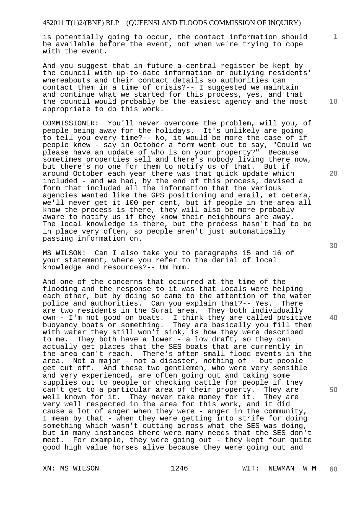is potentially going to occur, the contact information should be available before the event, not when we're trying to cope with the event.

And you suggest that in future a central register be kept by the council with up-to-date information on outlying residents' whereabouts and their contact details so authorities can contact them in a time of crisis?-- I suggested we maintain and continue what we started for this process, yes, and that the council would probably be the easiest agency and the most appropriate to do this work.

COMMISSIONER: You'll never overcome the problem, will you, of people being away for the holidays. It's unlikely are going to tell you every time?-- No, it would be more the case of if people knew - say in October a form went out to say, "Could we please have an update of who is on your property?" Because sometimes properties sell and there's nobody living there now, but there's no one for them to notify us of that. But if around October each year there was that quick update which included - and we had, by the end of this process, devised a form that included all the information that the various agencies wanted like the GPS positioning and email, et cetera, we'll never get it 100 per cent, but if people in the area all know the process is there, they will also be more probably aware to notify us if they know their neighbours are away. The local knowledge is there, but the process hasn't had to be in place very often, so people aren't just automatically passing information on.

MS WILSON: Can I also take you to paragraphs 15 and 16 of your statement, where you refer to the denial of local knowledge and resources?-- Um hmm.

And one of the concerns that occurred at the time of the flooding and the response to it was that locals were helping each other, but by doing so came to the attention of the water police and authorities. Can you explain that?-- Yes. There are two residents in the Surat area. They both individually own - I'm not good on boats. I think they are called positive buoyancy boats or something. They are basically you fill them with water they still won't sink, is how they were described to me. They both have a lower - a low draft, so they can actually get places that the SES boats that are currently in the area can't reach. There's often small flood events in the area. Not a major - not a disaster, nothing of - but people get cut off. And these two gentlemen, who were very sensible and very experienced, are often going out and taking some supplies out to people or checking cattle for people if they can't get to a particular area of their property. They are well known for it. They never take money for it. They are very well respected in the area for this work, and it did cause a lot of anger when they were - anger in the community, I mean by that - when they were getting into strife for doing something which wasn't cutting across what the SES was doing, but in many instances there were many needs that the SES don't meet. For example, they were going out - they kept four quite good high value horses alive because they were going out and

**10** 

**1**

**20** 

**40**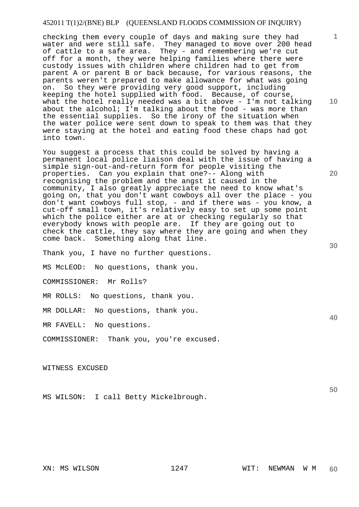checking them every couple of days and making sure they had water and were still safe. They managed to move over 200 head of cattle to a safe area. They - and remembering we're cut off for a month, they were helping families where there were custody issues with children where children had to get from parent A or parent B or back because, for various reasons, the parents weren't prepared to make allowance for what was going on. So they were providing very good support, including keeping the hotel supplied with food. Because, of course, what the hotel really needed was a bit above - I'm not talking about the alcohol; I'm talking about the food - was more than the essential supplies. So the irony of the situation when the water police were sent down to speak to them was that they were staying at the hotel and eating food these chaps had got into town.

You suggest a process that this could be solved by having a permanent local police liaison deal with the issue of having a simple sign-out-and-return form for people visiting the properties. Can you explain that one?-- Along with recognising the problem and the angst it caused in the community, I also greatly appreciate the need to know what's going on, that you don't want cowboys all over the place - you don't want cowboys full stop, - and if there was - you know, a cut-off small town, it's relatively easy to set up some point which the police either are at or checking regularly so that everybody knows with people are. If they are going out to check the cattle, they say where they are going and when they come back. Something along that line.

Thank you, I have no further questions.

MS McLEOD: No questions, thank you.

COMMISSIONER: Mr Rolls?

MR ROLLS: No questions, thank you.

MR DOLLAR: No questions, thank you.

MR FAVELL: No questions.

COMMISSIONER: Thank you, you're excused.

WITNESS EXCUSED

MS WILSON: I call Betty Mickelbrough.

**1**

**10** 

**20** 

**30** 

**40**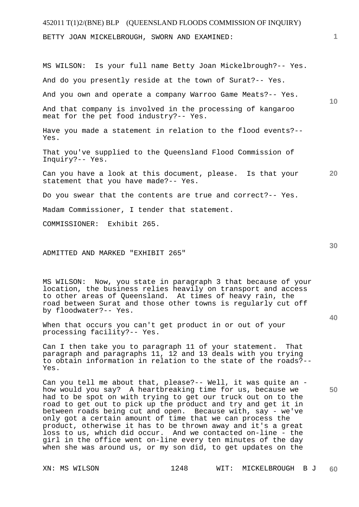BETTY JOAN MICKELBROUGH, SWORN AND EXAMINED:

MS WILSON: Is your full name Betty Joan Mickelbrough?-- Yes.

And do you presently reside at the town of Surat?-- Yes.

And you own and operate a company Warroo Game Meats?-- Yes.

And that company is involved in the processing of kangaroo meat for the pet food industry?-- Yes.

Have you made a statement in relation to the flood events?-- Yes.

That you've supplied to the Queensland Flood Commission of Inquiry?-- Yes.

**20**  Can you have a look at this document, please. Is that your statement that you have made?-- Yes.

Do you swear that the contents are true and correct?-- Yes.

Madam Commissioner, I tender that statement.

COMMISSIONER: Exhibit 265.

#### ADMITTED AND MARKED "EXHIBIT 265"

MS WILSON: Now, you state in paragraph 3 that because of your location, the business relies heavily on transport and access to other areas of Queensland. At times of heavy rain, the road between Surat and those other towns is regularly cut off by floodwater?-- Yes.

When that occurs you can't get product in or out of your processing facility?-- Yes.

Can I then take you to paragraph 11 of your statement. That paragraph and paragraphs 11, 12 and 13 deals with you trying to obtain information in relation to the state of the roads?-- Yes.

Can you tell me about that, please?-- Well, it was quite an how would you say? A heartbreaking time for us, because we had to be spot on with trying to get our truck out on to the road to get out to pick up the product and try and get it in between roads being cut and open. Because with, say - we've only got a certain amount of time that we can process the product, otherwise it has to be thrown away and it's a great loss to us, which did occur. And we contacted on-line - the girl in the office went on-line every ten minutes of the day when she was around us, or my son did, to get updates on the

**40** 

**50**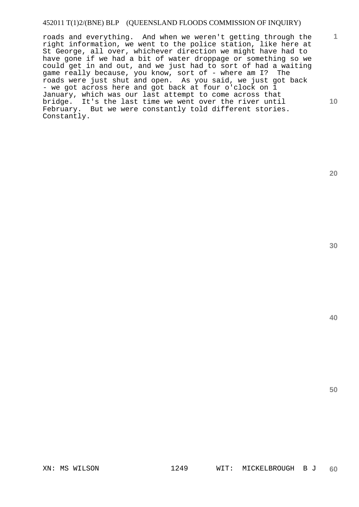roads and everything. And when we weren't getting through the right information, we went to the police station, like here at St George, all over, whichever direction we might have had to have gone if we had a bit of water droppage or something so we could get in and out, and we just had to sort of had a waiting game really because, you know, sort of - where am I? The roads were just shut and open. As you said, we just got back - we got across here and got back at four o'clock on 1 January, which was our last attempt to come across that bridge. It's the last time we went over the river until February. But we were constantly told different stories. Constantly.

**30** 

**20** 

**40** 

**50** 

**1**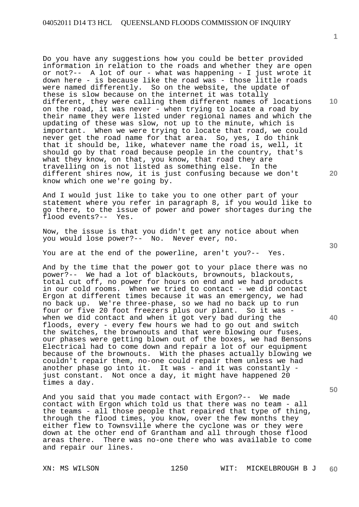Do you have any suggestions how you could be better provided information in relation to the roads and whether they are open or not?-- A lot of our - what was happening - I just wrote it down here - is because like the road was - those little roads were named differently. So on the website, the update of these is slow because on the internet it was totally different, they were calling them different names of locations on the road, it was never - when trying to locate a road by their name they were listed under regional names and which the updating of these was slow, not up to the minute, which is<br>important. When we were trying to locate that road, we com When we were trying to locate that road, we could never get the road name for that area. So, yes, I do think that it should be, like, whatever name the road is, well, it should go by that road because people in the country, that's what they know, on that, you know, that road they are travelling on is not listed as something else. In the different shires now, it is just confusing because we don't know which one we're going by.

And I would just like to take you to one other part of your statement where you refer in paragraph 8, if you would like to go there, to the issue of power and power shortages during the flood events?-- Yes.

Now, the issue is that you didn't get any notice about when you would lose power?-- No. Never ever, no.

You are at the end of the powerline, aren't you?-- Yes.

And by the time that the power got to your place there was no power?-- We had a lot of blackouts, brownouts, blackouts, total cut off, no power for hours on end and we had products in our cold rooms. When we tried to contact - we did contact Ergon at different times because it was an emergency, we had no back up. We're three-phase, so we had no back up to run four or five 20 foot freezers plus our plant. So it was when we did contact and when it got very bad during the floods, every - every few hours we had to go out and switch the switches, the brownouts and that were blowing our fuses, our phases were getting blown out of the boxes, we had Bensons Electrical had to come down and repair a lot of our equipment because of the brownouts. With the phases actually blowing we couldn't repair them, no-one could repair them unless we had another phase go into it. It was - and it was constantly just constant. Not once a day, it might have happened 20 times a day.

And you said that you made contact with Ergon?-- We made contact with Ergon which told us that there was no team - all the teams - all those people that repaired that type of thing, through the flood times, you know, over the few months they either flew to Townsville where the cyclone was or they were down at the other end of Grantham and all through those flood areas there. There was no-one there who was available to come and repair our lines.

**30** 

**40** 

**50** 

**20** 

**10**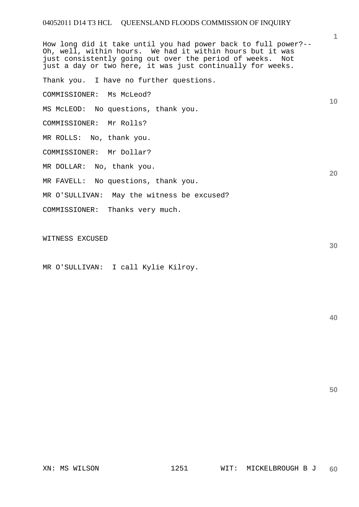**1 10 20**  How long did it take until you had power back to full power?-- Oh, well, within hours. We had it within hours but it was just consistently going out over the period of weeks. Not just a day or two here, it was just continually for weeks. Thank you. I have no further questions. COMMISSIONER: Ms McLeod? MS McLEOD: No questions, thank you. COMMISSIONER: Mr Rolls? MR ROLLS: No, thank you. COMMISSIONER: Mr Dollar? MR DOLLAR: No, thank you. MR FAVELL: No questions, thank you. MR O'SULLIVAN: May the witness be excused? COMMISSIONER: Thanks very much.

WITNESS EXCUSED

MR O'SULLIVAN: I call Kylie Kilroy.

**40** 

**50**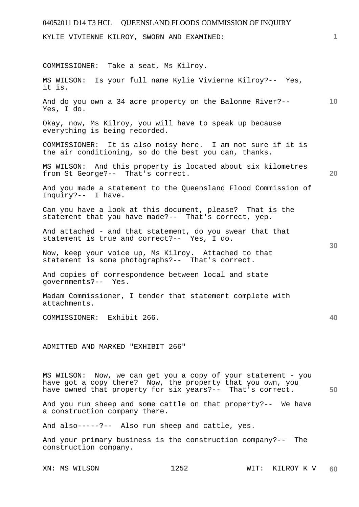# 04052011 D14 T3 HCL QUEENSLAND FLOODS COMMISSION OF INQUIRY **1 10 20 30 40 50**  KYLIE VIVIENNE KILROY, SWORN AND EXAMINED: COMMISSIONER: Take a seat, Ms Kilroy. MS WILSON: Is your full name Kylie Vivienne Kilroy?-- Yes, it is. And do you own a 34 acre property on the Balonne River?-- Yes, I do. Okay, now, Ms Kilroy, you will have to speak up because everything is being recorded. COMMISSIONER: It is also noisy here. I am not sure if it is the air conditioning, so do the best you can, thanks. MS WILSON: And this property is located about six kilometres from St George?-- That's correct. And you made a statement to the Queensland Flood Commission of Inquiry?-- I have. Can you have a look at this document, please? That is the statement that you have made?-- That's correct, yep. And attached - and that statement, do you swear that that statement is true and correct?-- Yes, I do. Now, keep your voice up, Ms Kilroy. Attached to that statement is some photographs?-- That's correct. And copies of correspondence between local and state governments?-- Yes. Madam Commissioner, I tender that statement complete with attachments. COMMISSIONER: Exhibit 266. ADMITTED AND MARKED "EXHIBIT 266" MS WILSON: Now, we can get you a copy of your statement - you have got a copy there? Now, the property that you own, you have owned that property for six years?-- That's correct. And you run sheep and some cattle on that property?-- We have a construction company there.

And also-----?-- Also run sheep and cattle, yes.

And your primary business is the construction company?-- The construction company.

XN: MS WILSON 1252 WIT: KILROY K V **60**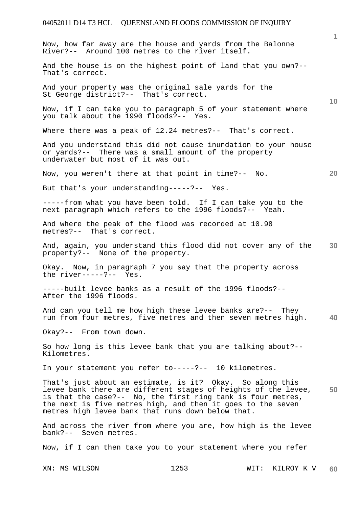**1 10 20 30 40 50**  Now, how far away are the house and yards from the Balonne River?-- Around 100 metres to the river itself. And the house is on the highest point of land that you own?-- That's correct. And your property was the original sale yards for the St George district?-- That's correct. Now, if I can take you to paragraph 5 of your statement where you talk about the 1990 floods?-- Yes. Where there was a peak of 12.24 metres?-- That's correct. And you understand this did not cause inundation to your house or yards?-- There was a small amount of the property underwater but most of it was out. Now, you weren't there at that point in time?-- No. But that's your understanding-----?-- Yes. -----from what you have been told. If I can take you to the next paragraph which refers to the 1996 floods?-- Yeah. And where the peak of the flood was recorded at 10.98 metres?-- That's correct. And, again, you understand this flood did not cover any of the property?-- None of the property. Okay. Now, in paragraph 7 you say that the property across the river-----?-- Yes. -----built levee banks as a result of the 1996 floods?-- After the 1996 floods. And can you tell me how high these levee banks are?-- They run from four metres, five metres and then seven metres high. Okay?-- From town down. So how long is this levee bank that you are talking about?-- Kilometres. In your statement you refer to-----?-- 10 kilometres. That's just about an estimate, is it? Okay. So along this levee bank there are different stages of heights of the levee, is that the case?-- No, the first ring tank is four metres, the next is five metres high, and then it goes to the seven metres high levee bank that runs down below that. And across the river from where you are, how high is the levee bank?-- Seven metres.

Now, if I can then take you to your statement where you refer

XN: MS WILSON 1253 WIT: KILROY K V **60**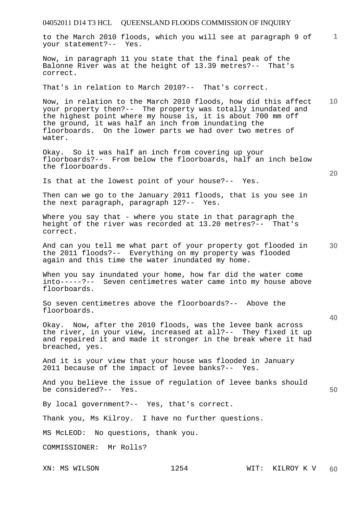|                         | 04052011 D14 T3 HCL  QUEENSLAND FLOODS COMMISSION OF INQUIRY                                                                                                                                                                                                                                                      |                 |                 |
|-------------------------|-------------------------------------------------------------------------------------------------------------------------------------------------------------------------------------------------------------------------------------------------------------------------------------------------------------------|-----------------|-----------------|
| your statement?-- Yes.  | to the March 2010 floods, which you will see at paragraph 9 of                                                                                                                                                                                                                                                    |                 | $\mathbf{1}$    |
| correct.                | Now, in paragraph 11 you state that the final peak of the<br>Balonne River was at the height of 13.39 metres?-- That's                                                                                                                                                                                            |                 |                 |
|                         | That's in relation to March 2010?-- That's correct.                                                                                                                                                                                                                                                               |                 |                 |
| water.                  | Now, in relation to the March 2010 floods, how did this affect<br>your property then?-- The property was totally inundated and<br>the highest point where my house is, it is about 700 mm off<br>the ground, it was half an inch from inundating the<br>floorboards. On the lower parts we had over two metres of |                 | 10 <sup>°</sup> |
| the floorboards.        | Okay. So it was half an inch from covering up your<br>floorboards?-- From below the floorboards, half an inch below                                                                                                                                                                                               |                 | 20              |
|                         | Is that at the lowest point of your house?-- Yes.                                                                                                                                                                                                                                                                 |                 |                 |
|                         | Then can we go to the January 2011 floods, that is you see in<br>the next paragraph, paragraph 12?-- Yes.                                                                                                                                                                                                         |                 |                 |
| correct.                | Where you say that - where you state in that paragraph the<br>height of the river was recorded at 13.20 metres?-- That's                                                                                                                                                                                          |                 |                 |
|                         | And can you tell me what part of your property got flooded in<br>the 2011 floods?-- Everything on my property was flooded<br>again and this time the water inundated my home.                                                                                                                                     |                 | 30              |
| floorboards.            | When you say inundated your home, how far did the water come<br>into-----?-- Seven centimetres water came into my house above                                                                                                                                                                                     |                 |                 |
| floorboards.            | So seven centimetres above the floorboards?-- Above the                                                                                                                                                                                                                                                           |                 | 40              |
| breached, yes.          | Okay. Now, after the 2010 floods, was the levee bank across<br>the river, in your view, increased at all?-- They fixed it up<br>and repaired it and made it stronger in the break where it had                                                                                                                    |                 |                 |
|                         | And it is your view that your house was flooded in January<br>2011 because of the impact of levee banks?-- Yes.                                                                                                                                                                                                   |                 |                 |
| be considered?-- Yes.   | And you believe the issue of regulation of levee banks should                                                                                                                                                                                                                                                     |                 | 50              |
|                         | By local government?-- Yes, that's correct.                                                                                                                                                                                                                                                                       |                 |                 |
|                         | Thank you, Ms Kilroy. I have no further questions.                                                                                                                                                                                                                                                                |                 |                 |
|                         | MS McLEOD: No questions, thank you.                                                                                                                                                                                                                                                                               |                 |                 |
| COMMISSIONER: Mr Rolls? |                                                                                                                                                                                                                                                                                                                   |                 |                 |
| XN: MS WILSON           | 1254                                                                                                                                                                                                                                                                                                              | WIT: KILROY K V | 60              |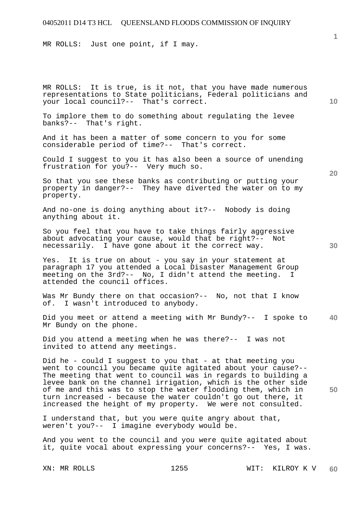MR ROLLS: Just one point, if I may.

MR ROLLS: It is true, is it not, that you have made numerous representations to State politicians, Federal politicians and your local council?-- That's correct.

To implore them to do something about regulating the levee banks?-- That's right.

And it has been a matter of some concern to you for some considerable period of time?-- That's correct.

Could I suggest to you it has also been a source of unending frustration for you?-- Very much so.

So that you see these banks as contributing or putting your property in danger?-- They have diverted the water on to my property.

And no-one is doing anything about it?-- Nobody is doing anything about it.

So you feel that you have to take things fairly aggressive about advocating your cause, would that be right?-- Not necessarily. I have gone about it the correct way.

Yes. It is true on about - you say in your statement at paragraph 17 you attended a Local Disaster Management Group meeting on the 3rd?-- No, I didn't attend the meeting. I attended the council offices.

Was Mr Bundy there on that occasion?-- No, not that I know of. I wasn't introduced to anybody.

**40**  Did you meet or attend a meeting with Mr Bundy?-- I spoke to Mr Bundy on the phone.

Did you attend a meeting when he was there?-- I was not invited to attend any meetings.

Did he - could I suggest to you that - at that meeting you went to council you became quite agitated about your cause?-- The meeting that went to council was in regards to building a levee bank on the channel irrigation, which is the other side of me and this was to stop the water flooding them, which in turn increased - because the water couldn't go out there, it increased the height of my property. We were not consulted.

I understand that, but you were quite angry about that, weren't you?-- I imagine everybody would be.

And you went to the council and you were quite agitated about it, quite vocal about expressing your concerns?-- Yes, I was.

**10** 

**1**

**20**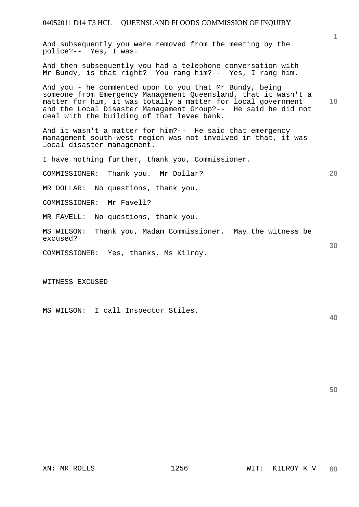And subsequently you were removed from the meeting by the police?-- Yes, I was.

And then subsequently you had a telephone conversation with Mr Bundy, is that right? You rang him?-- Yes, I rang him.

And you - he commented upon to you that Mr Bundy, being someone from Emergency Management Queensland, that it wasn't a matter for him, it was totally a matter for local government and the Local Disaster Management Group?-- He said he did not deal with the building of that levee bank.

And it wasn't a matter for him?-- He said that emergency management south-west region was not involved in that, it was local disaster management.

I have nothing further, thank you, Commissioner.

COMMISSIONER: Thank you. Mr Dollar?

MR DOLLAR: No questions, thank you.

COMMISSIONER: Mr Favell?

MR FAVELL: No questions, thank you.

MS WILSON: Thank you, Madam Commissioner. May the witness be excused?

COMMISSIONER: Yes, thanks, Ms Kilroy.

WITNESS EXCUSED

MS WILSON: I call Inspector Stiles.

**40** 

**1**

**10** 

**20** 

**30**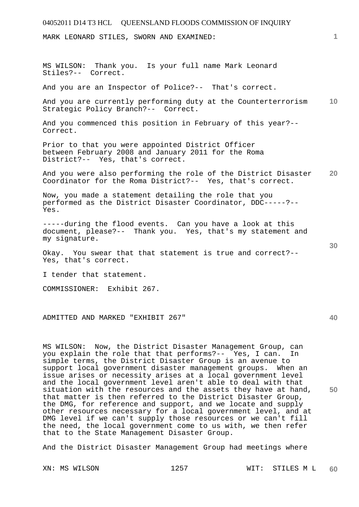MARK LEONARD STILES, SWORN AND EXAMINED:

MS WILSON: Thank you. Is your full name Mark Leonard Stiles?-- Correct.

And you are an Inspector of Police?-- That's correct.

**10**  And you are currently performing duty at the Counterterrorism Strategic Policy Branch?-- Correct.

And you commenced this position in February of this year?-- Correct.

Prior to that you were appointed District Officer between February 2008 and January 2011 for the Roma District?-- Yes, that's correct.

**20**  And you were also performing the role of the District Disaster Coordinator for the Roma District?-- Yes, that's correct.

Now, you made a statement detailing the role that you performed as the District Disaster Coordinator, DDC-----?-- Yes.

-----during the flood events. Can you have a look at this document, please?-- Thank you. Yes, that's my statement and my signature.

Okay. You swear that that statement is true and correct?-- Yes, that's correct.

I tender that statement.

COMMISSIONER: Exhibit 267.

ADMITTED AND MARKED "EXHIBIT 267"

MS WILSON: Now, the District Disaster Management Group, can you explain the role that that performs?-- Yes, I can. In simple terms, the District Disaster Group is an avenue to support local government disaster management groups. When an issue arises or necessity arises at a local government level and the local government level aren't able to deal with that situation with the resources and the assets they have at hand, that matter is then referred to the District Disaster Group, the DMG, for reference and support, and we locate and supply other resources necessary for a local government level, and at DMG level if we can't supply those resources or we can't fill the need, the local government come to us with, we then refer that to the State Management Disaster Group.

And the District Disaster Management Group had meetings where

**1**

**30** 

**40**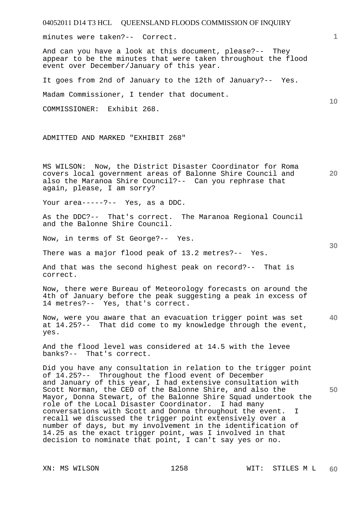04052011 D14 T3 HCL QUEENSLAND FLOODS COMMISSION OF INQUIRY XN: MS WILSON 1258 WIT: STILES M L **1 10 20 30 40 50 60**  minutes were taken?-- Correct. And can you have a look at this document, please?-- They appear to be the minutes that were taken throughout the flood event over December/January of this year. It goes from 2nd of January to the 12th of January?-- Yes. Madam Commissioner, I tender that document. COMMISSIONER: Exhibit 268. ADMITTED AND MARKED "EXHIBIT 268" MS WILSON: Now, the District Disaster Coordinator for Roma covers local government areas of Balonne Shire Council and also the Maranoa Shire Council?-- Can you rephrase that again, please, I am sorry? Your area-----?-- Yes, as a DDC. As the DDC?-- That's correct. The Maranoa Regional Council and the Balonne Shire Council. Now, in terms of St George?-- Yes. There was a major flood peak of 13.2 metres?-- Yes. And that was the second highest peak on record?-- That is correct. Now, there were Bureau of Meteorology forecasts on around the 4th of January before the peak suggesting a peak in excess of 14 metres?-- Yes, that's correct. Now, were you aware that an evacuation trigger point was set at 14.25?-- That did come to my knowledge through the event, yes. And the flood level was considered at 14.5 with the levee banks?-- That's correct. Did you have any consultation in relation to the trigger point of 14.25?-- Throughout the flood event of December and January of this year, I had extensive consultation with Scott Norman, the CEO of the Balonne Shire, and also the Mayor, Donna Stewart, of the Balonne Shire Squad undertook the role of the Local Disaster Coordinator. I had many conversations with Scott and Donna throughout the event. I recall we discussed the trigger point extensively over a number of days, but my involvement in the identification of 14.25 as the exact trigger point, was I involved in that decision to nominate that point, I can't say yes or no.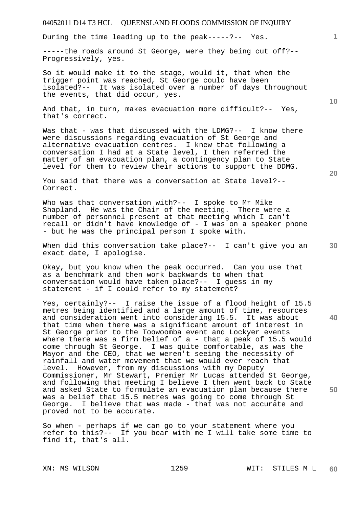During the time leading up to the peak-----?-- Yes.

-----the roads around St George, were they being cut off?-- Progressively, yes.

So it would make it to the stage, would it, that when the trigger point was reached, St George could have been isolated?-- It was isolated over a number of days throughout the events, that did occur, yes.

And that, in turn, makes evacuation more difficult?-- Yes, that's correct.

Was that - was that discussed with the LDMG?-- I know there were discussions regarding evacuation of St George and alternative evacuation centres. I knew that following a conversation I had at a State level, I then referred the matter of an evacuation plan, a contingency plan to State level for them to review their actions to support the DDMG.

You said that there was a conversation at State level?-- Correct.

Who was that conversation with?-- I spoke to Mr Mike Shapland. He was the Chair of the meeting. There were a number of personnel present at that meeting which I can't recall or didn't have knowledge of - I was on a speaker phone - but he was the principal person I spoke with.

When did this conversation take place?-- I can't give you an exact date, I apologise.

Okay, but you know when the peak occurred. Can you use that as a benchmark and then work backwards to when that conversation would have taken place?-- I guess in my statement - if I could refer to my statement?

**40 50**  Yes, certainly?-- I raise the issue of a flood height of 15.5 metres being identified and a large amount of time, resources and consideration went into considering 15.5. It was about that time when there was a significant amount of interest in St George prior to the Toowoomba event and Lockyer events where there was a firm belief of a - that a peak of 15.5 would come through St George. I was quite comfortable, as was the Mayor and the CEO, that we weren't seeing the necessity of rainfall and water movement that we would ever reach that level. However, from my discussions with my Deputy Commissioner, Mr Stewart, Premier Mr Lucas attended St George, and following that meeting I believe I then went back to State and asked State to formulate an evacuation plan because there was a belief that 15.5 metres was going to come through St George. I believe that was made - that was not accurate and proved not to be accurate.

So when - perhaps if we can go to your statement where you refer to this?-- If you bear with me I will take some time to find it, that's all.

**20** 

**10**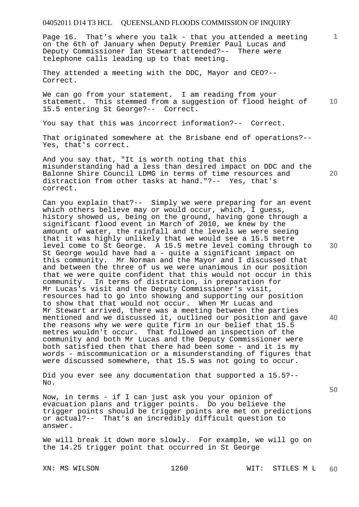Page 16. That's where you talk - that you attended a meeting on the 6th of January when Deputy Premier Paul Lucas and Deputy Commissioner Ian Stewart attended?-- There were telephone calls leading up to that meeting.

They attended a meeting with the DDC, Mayor and CEO?-- Correct.

**10**  We can go from your statement. I am reading from your statement. This stemmed from a suggestion of flood height of 15.5 entering St George?-- Correct.

You say that this was incorrect information?-- Correct.

That originated somewhere at the Brisbane end of operations?-- Yes, that's correct.

And you say that, "It is worth noting that this misunderstanding had a less than desired impact on DDC and the Balonne Shire Council LDMG in terms of time resources and distraction from other tasks at hand."?-- Yes, that's correct.

Can you explain that?-- Simply we were preparing for an event which others believe may or would occur, which, I guess, history showed us, being on the ground, having gone through a significant flood event in March of 2010, we knew by the amount of water, the rainfall and the levels we were seeing that it was highly unlikely that we would see a 15.5 metre level come to St George. A 15.5 metre level coming through to St George would have had a - quite a significant impact on this community. Mr Norman and the Mayor and I discussed that and between the three of us we were unanimous in our position that we were quite confident that this would not occur in this community. In terms of distraction, in preparation for Mr Lucas's visit and the Deputy Commissioner's visit, resources had to go into showing and supporting our position to show that that would not occur. When Mr Lucas and Mr Stewart arrived, there was a meeting between the parties mentioned and we discussed it, outlined our position and gave the reasons why we were quite firm in our belief that 15.5 metres wouldn't occur. That followed an inspection of the community and both Mr Lucas and the Deputy Commissioner were both satisfied then that there had been some - and it is my words - miscommunication or a misunderstanding of figures that were discussed somewhere, that 15.5 was not going to occur.

Did you ever see any documentation that supported a 15.5?-- No.

Now, in terms - if I can just ask you your opinion of evacuation plans and trigger points. Do you believe the trigger points should be trigger points are met on predictions or actual?-- That's an incredibly difficult question to answer.

We will break it down more slowly. For example, we will go on the 14.25 trigger point that occurred in St George

**30** 

**40** 

**20** 

**1**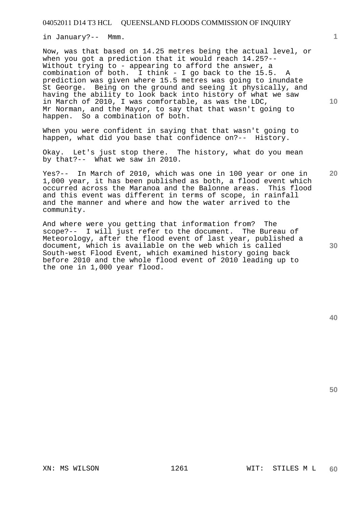in January?-- Mmm.

Now, was that based on 14.25 metres being the actual level, or when you got a prediction that it would reach 14.25?-- Without trying to - appearing to afford the answer, a combination of both. I think - I go back to the 15.5. A prediction was given where 15.5 metres was going to inundate St George. Being on the ground and seeing it physically, and having the ability to look back into history of what we saw in March of 2010, I was comfortable, as was the LDC, Mr Norman, and the Mayor, to say that that wasn't going to happen. So a combination of both.

When you were confident in saying that that wasn't going to happen, what did you base that confidence on?-- History.

Okay. Let's just stop there. The history, what do you mean by that?-- What we saw in 2010.

Yes?-- In March of 2010, which was one in 100 year or one in 1,000 year, it has been published as both, a flood event which occurred across the Maranoa and the Balonne areas. This flood and this event was different in terms of scope, in rainfall and the manner and where and how the water arrived to the community.

And where were you getting that information from? The scope?-- I will just refer to the document. The Bureau of Meteorology, after the flood event of last year, published a document, which is available on the web which is called South-west Flood Event, which examined history going back before 2010 and the whole flood event of 2010 leading up to the one in 1,000 year flood.

**50** 

**1**

**10** 

**20**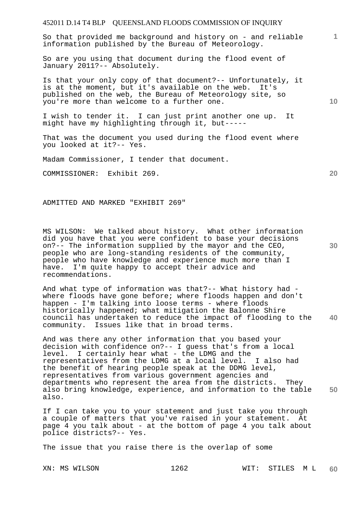So that provided me background and history on - and reliable information published by the Bureau of Meteorology.

So are you using that document during the flood event of January 2011?-- Absolutely.

Is that your only copy of that document?-- Unfortunately, it is at the moment, but it's available on the web. It's published on the web, the Bureau of Meteorology site, so you're more than welcome to a further one.

I wish to tender it. I can just print another one up. It might have my highlighting through it, but-----

That was the document you used during the flood event where you looked at it?-- Yes.

Madam Commissioner, I tender that document.

COMMISSIONER: Exhibit 269.

ADMITTED AND MARKED "EXHIBIT 269"

MS WILSON: We talked about history. What other information did you have that you were confident to base your decisions on?-- The information supplied by the mayor and the CEO, people who are long-standing residents of the community, people who have knowledge and experience much more than I have. I'm quite happy to accept their advice and recommendations.

**40**  And what type of information was that?-- What history had where floods have gone before; where floods happen and don't happen - I'm talking into loose terms - where floods historically happened; what mitigation the Balonne Shire council has undertaken to reduce the impact of flooding to the community. Issues like that in broad terms.

**50**  And was there any other information that you based your decision with confidence on?-- I guess that's from a local level. I certainly hear what - the LDMG and the representatives from the LDMG at a local level. I also had the benefit of hearing people speak at the DDMG level, representatives from various government agencies and departments who represent the area from the districts. They also bring knowledge, experience, and information to the table also.

If I can take you to your statement and just take you through a couple of matters that you've raised in your statement. At page 4 you talk about - at the bottom of page 4 you talk about police districts?-- Yes.

The issue that you raise there is the overlap of some

**10** 

**20** 

**1**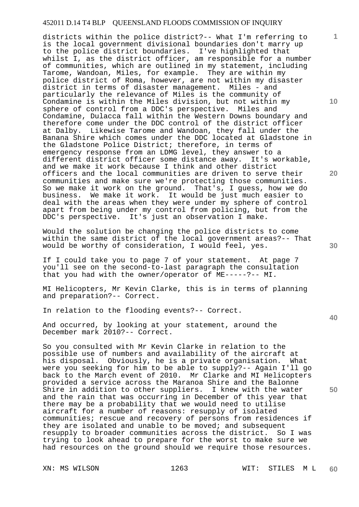districts within the police district?-- What I'm referring to is the local government divisional boundaries don't marry up to the police district boundaries. I've highlighted that whilst I, as the district officer, am responsible for a number of communities, which are outlined in my statement, including Tarome, Wandoan, Miles, for example. They are within my police district of Roma, however, are not within my disaster district in terms of disaster management. Miles - and particularly the relevance of Miles is the community of Condamine is within the Miles division, but not within my sphere of control from a DDC's perspective. Miles and Condamine, Dulacca fall within the Western Downs boundary and therefore come under the DDC control of the district officer at Dalby. Likewise Tarome and Wandoan, they fall under the Banana Shire which comes under the DDC located at Gladstone in the Gladstone Police District; therefore, in terms of emergency response from an LDMG level, they answer to a<br>different district officer some distance away. It's workable, different district officer some distance away. and we make it work because I think and other district officers and the local communities are driven to serve their communities and make sure we're protecting those communities. So we make it work on the ground. That's, I guess, how we do business. We make it work. It would be just much easier to deal with the areas when they were under my sphere of control apart from being under my control from policing, but from the DDC's perspective. It's just an observation I make.

Would the solution be changing the police districts to come within the same district of the local government areas?-- That would be worthy of consideration, I would feel, yes.

If I could take you to page 7 of your statement. At page 7 you'll see on the second-to-last paragraph the consultation that you had with the owner/operator of ME-----?-- MI.

MI Helicopters, Mr Kevin Clarke, this is in terms of planning and preparation?-- Correct.

In relation to the flooding events?-- Correct.

And occurred, by looking at your statement, around the December mark 2010?-- Correct.

So you consulted with Mr Kevin Clarke in relation to the possible use of numbers and availability of the aircraft at his disposal. Obviously, he is a private organisation. What were you seeking for him to be able to supply?-- Again I'll go back to the March event of 2010. Mr Clarke and MI Helicopters provided a service across the Maranoa Shire and the Balonne Shire in addition to other suppliers. I knew with the water and the rain that was occurring in December of this year that there may be a probability that we would need to utilise aircraft for a number of reasons: resupply of isolated communities; rescue and recovery of persons from residences if they are isolated and unable to be moved; and subsequent resupply to broader communities across the district. So I was trying to look ahead to prepare for the worst to make sure we had resources on the ground should we require those resources.

**10** 

**1**

**20** 

**30** 

**40**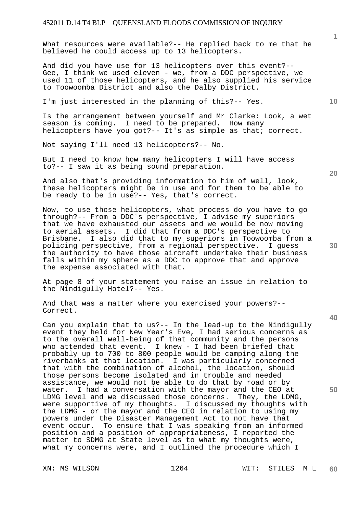What resources were available?-- He replied back to me that he believed he could access up to 13 helicopters.

And did you have use for 13 helicopters over this event?-- Gee, I think we used eleven - we, from a DDC perspective, we used 11 of those helicopters, and he also supplied his service to Toowoomba District and also the Dalby District.

I'm just interested in the planning of this?-- Yes.

Is the arrangement between yourself and Mr Clarke: Look, a wet season is coming. I need to be prepared. How many helicopters have you got?-- It's as simple as that; correct.

Not saying I'll need 13 helicopters?-- No.

But I need to know how many helicopters I will have access to?-- I saw it as being sound preparation.

And also that's providing information to him of well, look, these helicopters might be in use and for them to be able to be ready to be in use?-- Yes, that's correct.

Now, to use those helicopters, what process do you have to go through?-- From a DDC's perspective, I advise my superiors that we have exhausted our assets and we would be now moving to aerial assets. I did that from a DDC's perspective to Brisbane. I also did that to my superiors in Toowoomba from a policing perspective, from a regional perspective. I guess the authority to have those aircraft undertake their business falls within my sphere as a DDC to approve that and approve the expense associated with that.

At page 8 of your statement you raise an issue in relation to the Nindigully Hotel?-- Yes.

And that was a matter where you exercised your powers?-- Correct.

Can you explain that to us?-- In the lead-up to the Nindigully event they held for New Year's Eve, I had serious concerns as to the overall well-being of that community and the persons who attended that event. I knew - I had been briefed that probably up to 700 to 800 people would be camping along the riverbanks at that location. I was particularly concerned that with the combination of alcohol, the location, should those persons become isolated and in trouble and needed assistance, we would not be able to do that by road or by water. I had a conversation with the mayor and the CEO at LDMG level and we discussed those concerns. They, the LDMG, were supportive of my thoughts. I discussed my thoughts with the LDMG - or the mayor and the CEO in relation to using my powers under the Disaster Management Act to not have that event occur. To ensure that I was speaking from an informed position and a position of appropriateness, I reported the matter to SDMG at State level as to what my thoughts were, what my concerns were, and I outlined the procedure which I

**20** 

**40** 

**50** 

**10**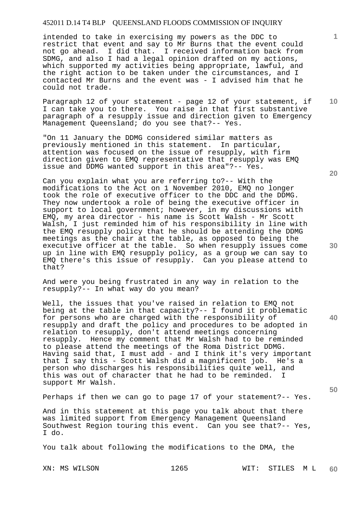intended to take in exercising my powers as the DDC to restrict that event and say to Mr Burns that the event could not go ahead. I did that. I received information back from SDMG, and also I had a legal opinion drafted on my actions, which supported my activities being appropriate, lawful, and the right action to be taken under the circumstances, and I contacted Mr Burns and the event was - I advised him that he could not trade.

Paragraph 12 of your statement - page 12 of your statement, if I can take you to there. You raise in that first substantive paragraph of a resupply issue and direction given to Emergency Management Queensland; do you see that?-- Yes.

"On 11 January the DDMG considered similar matters as previously mentioned in this statement. In particular, attention was focused on the issue of resupply, with firm direction given to EMQ representative that resupply was EMQ issue and DDMG wanted support in this area"?-- Yes.

Can you explain what you are referring to?-- With the modifications to the Act on 1 November 2010, EMQ no longer took the role of executive officer to the DDC and the DDMG. They now undertook a role of being the executive officer in support to local government; however, in my discussions with EMQ, my area director - his name is Scott Walsh - Mr Scott Walsh, I just reminded him of his responsibility in line with the EMQ resupply policy that he should be attending the DDMG meetings as the chair at the table, as opposed to being the executive officer at the table. So when resupply issues come up in line with EMQ resupply policy, as a group we can say to EMQ there's this issue of resupply. Can you please attend to that?

And were you being frustrated in any way in relation to the resupply?-- In what way do you mean?

Well, the issues that you've raised in relation to EMQ not being at the table in that capacity?-- I found it problematic for persons who are charged with the responsibility of resupply and draft the policy and procedures to be adopted in relation to resupply, don't attend meetings concerning resupply. Hence my comment that Mr Walsh had to be reminded to please attend the meetings of the Roma District DDMG. Having said that, I must add - and I think it's very important that I say this - Scott Walsh did a magnificent job. He's a person who discharges his responsibilities quite well, and this was out of character that he had to be reminded. I support Mr Walsh.

Perhaps if then we can go to page 17 of your statement?-- Yes.

And in this statement at this page you talk about that there was limited support from Emergency Management Oueensland Southwest Region touring this event. Can you see that?-- Yes, I do.

You talk about following the modifications to the DMA, the

**20** 

**30** 

**40** 

**50** 

**10**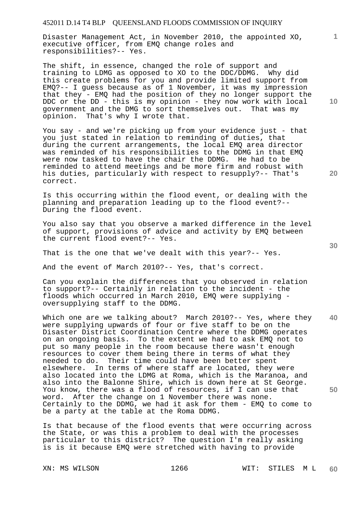Disaster Management Act, in November 2010, the appointed XO, executive officer, from EMQ change roles and responsibilities?-- Yes.

The shift, in essence, changed the role of support and training to LDMG as opposed to XO to the DDC/DDMG. Why did this create problems for you and provide limited support from EMQ?-- I guess because as of 1 November, it was my impression that they - EMQ had the position of they no longer support the DDC or the DD - this is my opinion - they now work with local government and the DMG to sort themselves out. That was my opinion. That's why I wrote that.

You say - and we're picking up from your evidence just - that you just stated in relation to reminding of duties, that during the current arrangements, the local EMQ area director was reminded of his responsibilities to the DDMG in that EMQ were now tasked to have the chair the DDMG. He had to be reminded to attend meetings and be more firm and robust with his duties, particularly with respect to resupply?-- That's correct.

Is this occurring within the flood event, or dealing with the planning and preparation leading up to the flood event?-- During the flood event.

You also say that you observe a marked difference in the level of support, provisions of advice and activity by EMQ between the current flood event?-- Yes.

That is the one that we've dealt with this year?-- Yes.

And the event of March 2010?-- Yes, that's correct.

Can you explain the differences that you observed in relation to support?-- Certainly in relation to the incident - the floods which occurred in March 2010, EMQ were supplying oversupplying staff to the DDMG.

**40 50**  Which one are we talking about? March 2010?-- Yes, where they were supplying upwards of four or five staff to be on the Disaster District Coordination Centre where the DDMG operates on an ongoing basis. To the extent we had to ask EMQ not to put so many people in the room because there wasn't enough resources to cover them being there in terms of what they needed to do. Their time could have been better spent elsewhere. In terms of where staff are located, they were also located into the LDMG at Roma, which is the Maranoa, and also into the Balonne Shire, which is down here at St George. You know, there was a flood of resources, if I can use that word. After the change on 1 November there was none. Certainly to the DDMG, we had it ask for them - EMQ to come to be a party at the table at the Roma DDMG.

Is that because of the flood events that were occurring across the State, or was this a problem to deal with the processes particular to this district? The question I'm really asking is is it because EMQ were stretched with having to provide

**10** 

**1**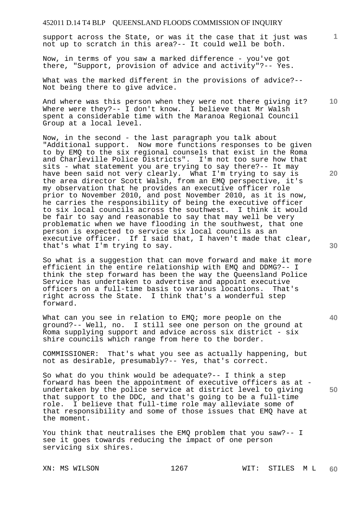support across the State, or was it the case that it just was not up to scratch in this area?-- It could well be both.

Now, in terms of you saw a marked difference - you've got there, "Support, provision of advice and activity"?-- Yes.

What was the marked different in the provisions of advice?-- Not being there to give advice.

**10**  And where was this person when they were not there giving it? Where were they?-- I don't know. I believe that Mr Walsh spent a considerable time with the Maranoa Regional Council Group at a local level.

Now, in the second - the last paragraph you talk about "Additional support. Now more functions responses to be given to by EMQ to the six regional counsels that exist in the Roma and Charleville Police Districts". I'm not too sure how that sits - what statement you are trying to say there?-- It may have been said not very clearly. What I'm trying to say is the area director Scott Walsh, from an EMQ perspective, it's my observation that he provides an executive officer role prior to November 2010, and post November 2010, as it is now, he carries the responsibility of being the executive officer to six local councils across the southwest. I think it would be fair to say and reasonable to say that may well be very problematic when we have flooding in the southwest, that one person is expected to service six local councils as an executive officer. If I said that, I haven't made that clear, that's what I'm trying to say.

So what is a suggestion that can move forward and make it more efficient in the entire relationship with EMQ and DDMG?-- I think the step forward has been the way the Queensland Police Service has undertaken to advertise and appoint executive officers on a full-time basis to various locations. That's right across the State. I think that's a wonderful step forward.

What can you see in relation to EMQ; more people on the ground?-- Well, no. I still see one person on the ground at Roma supplying support and advice across six district - six shire councils which range from here to the border.

COMMISSIONER: That's what you see as actually happening, but not as desirable, presumably?-- Yes, that's correct.

So what do you think would be adequate?-- I think a step forward has been the appointment of executive officers as at undertaken by the police service at district level to giving that support to the DDC, and that's going to be a full-time role. I believe that full-time role may alleviate some of that responsibility and some of those issues that EMQ have at the moment.

You think that neutralises the EMQ problem that you saw?-- I see it goes towards reducing the impact of one person servicing six shires.

**20** 

**1**

**40**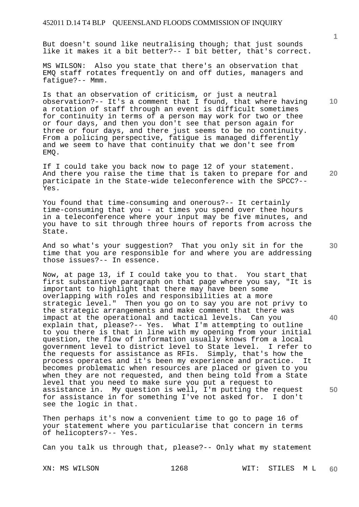But doesn't sound like neutralising though; that just sounds like it makes it a bit better?-- I bit better, that's correct.

MS WILSON: Also you state that there's an observation that EMQ staff rotates frequently on and off duties, managers and fatigue?-- Mmm.

Is that an observation of criticism, or just a neutral observation?-- It's a comment that I found, that where having a rotation of staff through an event is difficult sometimes for continuity in terms of a person may work for two or thee or four days, and then you don't see that person again for three or four days, and there just seems to be no continuity. From a policing perspective, fatigue is managed differently and we seem to have that continuity that we don't see from EMQ.

If I could take you back now to page 12 of your statement. And there you raise the time that is taken to prepare for and participate in the State-wide teleconference with the SPCC?-- Yes.

You found that time-consuming and onerous?-- It certainly time-consuming that you - at times you spend over thee hours in a teleconference where your input may be five minutes, and you have to sit through three hours of reports from across the State.

And so what's your suggestion? That you only sit in for the time that you are responsible for and where you are addressing those issues?-- In essence.

Now, at page 13, if I could take you to that. You start that first substantive paragraph on that page where you say, "It is important to highlight that there may have been some overlapping with roles and responsibilities at a more strategic level." Then you go on to say you are not privy to the strategic arrangements and make comment that there was impact at the operational and tactical levels. Can you explain that, please?-- Yes. What I'm attempting to outline to you there is that in line with my opening from your initial question, the flow of information usually knows from a local government level to district level to State level. I refer to the requests for assistance as RFIs. Simply, that's how the process operates and it's been my experience and practice. It becomes problematic when resources are placed or given to you when they are not requested, and then being told from a State level that you need to make sure you put a request to assistance in. My question is well, I'm putting the request for assistance in for something I've not asked for. I don't see the logic in that.

Then perhaps it's now a convenient time to go to page 16 of your statement where you particularise that concern in terms of helicopters?-- Yes.

Can you talk us through that, please?-- Only what my statement

XN: MS WILSON 1268 WIT: STILES M L **60** 

**1**

**10** 

**30** 

**40** 

**50**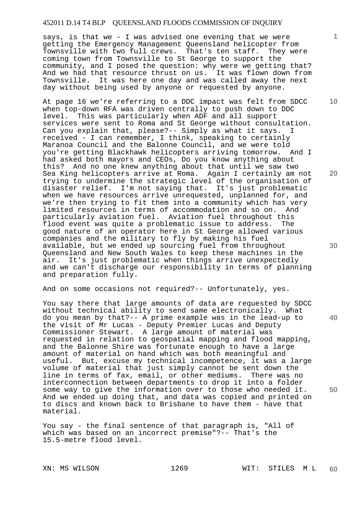says, is that we - I was advised one evening that we were getting the Emergency Management Queensland helicopter from Townsville with two full crews. That's ten staff. They were coming town from Townsville to St George to support the community, and I posed the question: why were we getting that? And we had that resource thrust on us. It was flown down from Townsville. It was here one day and was called away the next day without being used by anyone or requested by anyone.

At page 16 we're referring to a DDC impact was felt from SDCC when top-down RFA was driven centrally to push down to DDC level. This was particularly when ADF and all support services were sent to Roma and St George without consultation. Can you explain that, please?-- Simply as what it says. I received - I can remember, I think, speaking to certainly Maranoa Council and the Balonne Council, and we were told you're getting Blackhawk helicopters arriving tomorrow. And I had asked both mayors and CEOs, Do you know anything about this? And no one knew anything about that until we saw two Sea King helicopters arrive at Roma. Again I certainly am not trying to undermine the strategic level of the organisation of disaster relief. I'm not saying that. It's just problematic when we have resources arrive unrequested, unplanned for, and we're then trying to fit them into a community which has very limited resources in terms of accommodation and so on. And particularly aviation fuel. Aviation fuel throughout this flood event was quite a problematic issue to address. The good nature of an operator here in St George allowed various companies and the military to fly by making his fuel available, but we ended up sourcing fuel from throughout Queensland and New South Wales to keep these machines in the air. It's just problematic when things arrive unexpectedly and we can't discharge our responsibility in terms of planning and preparation fully.

And on some occasions not required?-- Unfortunately, yes.

You say there that large amounts of data are requested by SDCC without technical ability to send same electronically. What do you mean by that?-- A prime example was in the lead-up to the visit of Mr Lucas - Deputy Premier Lucas and Deputy Commissioner Stewart. A large amount of material was requested in relation to geospatial mapping and flood mapping, and the Balonne Shire was fortunate enough to have a large amount of material on hand which was both meaningful and useful. But, excuse my technical incompetence, it was a large volume of material that just simply cannot be sent down the line in terms of fax, email, or other mediums. There was no interconnection between departments to drop it into a folder some way to give the information over to those who needed it. And we ended up doing that, and data was copied and printed on to discs and known back to Brisbane to have them - have that material.

You say - the final sentence of that paragraph is, "All of which was based on an incorrect premise"?-- That's the 15.5-metre flood level.

**1**

**10** 

**20** 

**40**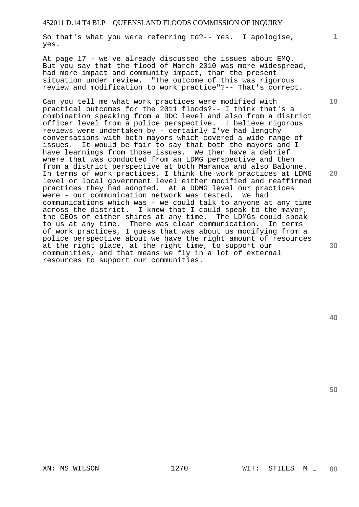So that's what you were referring to?-- Yes. I apologise, yes.

At page 17 - we've already discussed the issues about EMQ. But you say that the flood of March 2010 was more widespread, had more impact and community impact, than the present situation under review. "The outcome of this was rigorous review and modification to work practice"?-- That's correct.

Can you tell me what work practices were modified with practical outcomes for the 2011 floods?-- I think that's a combination speaking from a DDC level and also from a district officer level from a police perspective. I believe rigorous reviews were undertaken by - certainly I've had lengthy conversations with both mayors which covered a wide range of issues. It would be fair to say that both the mayors and I have learnings from those issues. We then have a debrief where that was conducted from an LDMG perspective and then from a district perspective at both Maranoa and also Balonne. In terms of work practices, I think the work practices at LDMG level or local government level either modified and reaffirmed practices they had adopted. At a DDMG level our practices were - our communication network was tested. We had communications which was - we could talk to anyone at any time across the district. I knew that I could speak to the mayor, the CEOs of either shires at any time. The LDMGs could speak to us at any time. There was clear communication. In terms of work practices, I guess that was about us modifying from a police perspective about we have the right amount of resources at the right place, at the right time, to support our communities, and that means we fly in a lot of external resources to support our communities.

**50** 

**1**

**10** 

**20**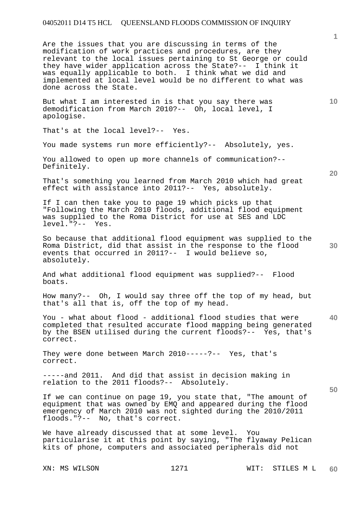Are the issues that you are discussing in terms of the modification of work practices and procedures, are they relevant to the local issues pertaining to St George or could they have wider application across the State?-- I think it was equally applicable to both. I think what we did and implemented at local level would be no different to what was done across the State.

But what I am interested in is that you say there was demodification from March 2010?-- Oh, local level, I apologise.

That's at the local level?-- Yes.

You made systems run more efficiently?-- Absolutely, yes.

You allowed to open up more channels of communication?-- Definitely.

That's something you learned from March 2010 which had great effect with assistance into 2011?-- Yes, absolutely.

If I can then take you to page 19 which picks up that "Following the March 2010 floods, additional flood equipment was supplied to the Roma District for use at SES and LDC level."?-- Yes.

So because that additional flood equipment was supplied to the Roma District, did that assist in the response to the flood events that occurred in 2011?-- I would believe so, absolutely.

And what additional flood equipment was supplied?-- Flood boats.

How many?-- Oh, I would say three off the top of my head, but that's all that is, off the top of my head.

**40**  You - what about flood - additional flood studies that were completed that resulted accurate flood mapping being generated by the BSEN utilised during the current floods?-- Yes, that's correct.

They were done between March 2010-----?-- Yes, that's correct.

-----and 2011. And did that assist in decision making in relation to the 2011 floods?-- Absolutely.

If we can continue on page 19, you state that, "The amount of equipment that was owned by EMQ and appeared during the flood emergency of March 2010 was not sighted during the 2010/2011 floods."?-- No, that's correct.

We have already discussed that at some level. You particularise it at this point by saying, "The flyaway Pelican kits of phone, computers and associated peripherals did not

**1**

**10** 

**20**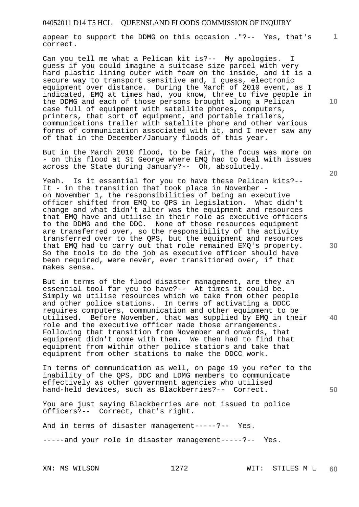appear to support the DDMG on this occasion ."?-- Yes, that's correct.

Can you tell me what a Pelican kit is?-- My apologies. I guess if you could imagine a suitcase size parcel with very hard plastic lining outer with foam on the inside, and it is a secure way to transport sensitive and, I guess, electronic equipment over distance. During the March of 2010 event, as I indicated, EMQ at times had, you know, three to five people in the DDMG and each of those persons brought along a Pelican case full of equipment with satellite phones, computers, printers, that sort of equipment, and portable trailers, communications trailer with satellite phone and other various forms of communication associated with it, and I never saw any of that in the December/January floods of this year.

But in the March 2010 flood, to be fair, the focus was more on - on this flood at St George where EMQ had to deal with issues across the State during January?-- Oh, absolutely.

Yeah. Is it essential for you to have these Pelican kits?-- It - in the transition that took place in November on November 1, the responsibilities of being an executive officer shifted from EMQ to QPS in legislation. What didn't change and what didn't alter was the equipment and resources that EMQ have and utilise in their role as executive officers to the DDMG and the DDC. None of those resources equipment are transferred over, so the responsibility of the activity transferred over to the QPS, but the equipment and resources that EMQ had to carry out that role remained EMQ's property. So the tools to do the job as executive officer should have been required, were never, ever transitioned over, if that makes sense.

But in terms of the flood disaster management, are they an essential tool for you to have?-- At times it could be. Simply we utilise resources which we take from other people and other police stations. In terms of activating a DDCC requires computers, communication and other equipment to be utilised. Before November, that was supplied by EMQ in their role and the executive officer made those arrangements. Following that transition from November and onwards, that equipment didn't come with them. We then had to find that equipment from within other police stations and take that equipment from other stations to make the DDCC work.

In terms of communication as well, on page 19 you refer to the inability of the QPS, DDC and LDMG members to communicate effectively as other government agencies who utilised hand-held devices, such as Blackberries?-- Correct.

You are just saying Blackberries are not issued to police officers?-- Correct, that's right.

And in terms of disaster management-----?-- Yes.

-----and your role in disaster management-----?-- Yes.

**10** 

**1**

**30** 

**40**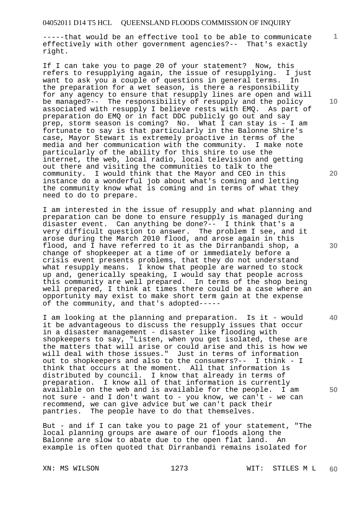-----that would be an effective tool to be able to communicate effectively with other government agencies?-- That's exactly right.

If I can take you to page 20 of your statement? Now, this refers to resupplying again, the issue of resupplying. I just want to ask you a couple of questions in general terms. In the preparation for a wet season, is there a responsibility for any agency to ensure that resupply lines are open and will be managed?-- The responsibility of resupply and the policy associated with resupply I believe rests with EMQ. As part of preparation do EMQ or in fact DDC publicly go out and say prep, storm season is coming? No. What I can stay is - I am fortunate to say is that particularly in the Balonne Shire's case, Mayor Stewart is extremely proactive in terms of the media and her communication with the community. I make note particularly of the ability for this shire to use the internet, the web, local radio, local television and getting out there and visiting the communities to talk to the community. I would think that the Mayor and CEO in this instance do a wonderful job about what's coming and letting the community know what is coming and in terms of what they need to do to prepare.

I am interested in the issue of resupply and what planning and preparation can be done to ensure resupply is managed during disaster event. Can anything be done?-- I think that's a very difficult question to answer. The problem I see, and it arose during the March 2010 flood, and arose again in this flood, and I have referred to it as the Dirranbandi shop, a change of shopkeeper at a time of or immediately before a crisis event presents problems, that they do not understand what resupply means. I know that people are warned to stock up and, generically speaking, I would say that people across this community are well prepared. In terms of the shop being well prepared, I think at times there could be a case where an opportunity may exist to make short term gain at the expense of the community, and that's adopted-----

I am looking at the planning and preparation. Is it - would it be advantageous to discuss the resupply issues that occur in a disaster management - disaster like flooding with shopkeepers to say, "Listen, when you get isolated, these are the matters that will arise or could arise and this is how we will deal with those issues." Just in terms of information out to shopkeepers and also to the consumers?-- I think - I think that occurs at the moment. All that information is distributed by council. I know that already in terms of preparation. I know all of that information is currently available on the web and is available for the people. I am not sure - and I don't want to - you know, we can't - we can recommend, we can give advice but we can't pack their pantries. The people have to do that themselves.

But - and if I can take you to page 21 of your statement, "The local planning groups are aware of our floods along the Balonne are slow to abate due to the open flat land. An example is often quoted that Dirranbandi remains isolated for

XN: MS WILSON 1273 WIT: STILES M L **60** 

**10** 

**1**

**20** 

**40**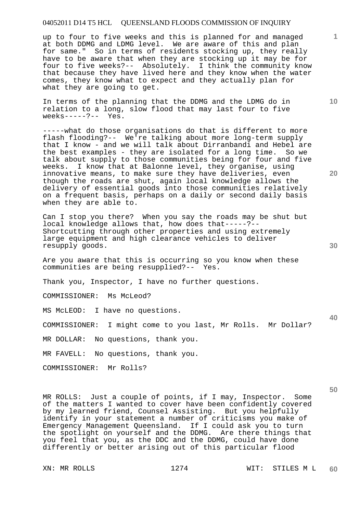up to four to five weeks and this is planned for and managed at both DDMG and LDMG level. We are aware of this and plan for same." So in terms of residents stocking up, they really have to be aware that when they are stocking up it may be for four to five weeks?-- Absolutely. I think the community know that because they have lived here and they know when the water comes, they know what to expect and they actually plan for what they are going to get.

In terms of the planning that the DDMG and the LDMG do in relation to a long, slow flood that may last four to five weeks-----?-- Yes.

-----what do those organisations do that is different to more flash flooding?-- We're talking about more long-term supply that I know - and we will talk about Dirranbandi and Hebel are the best examples - they are isolated for a long time. So we talk about supply to those communities being for four and five weeks. I know that at Balonne level, they organise, using innovative means, to make sure they have deliveries, even though the roads are shut, again local knowledge allows the delivery of essential goods into those communities relatively on a frequent basis, perhaps on a daily or second daily basis when they are able to.

Can I stop you there? When you say the roads may be shut but local knowledge allows that, how does that-----?-- Shortcutting through other properties and using extremely large equipment and high clearance vehicles to deliver resupply goods.

Are you aware that this is occurring so you know when these communities are being resupplied?-- Yes.

Thank you, Inspector, I have no further questions.

COMMISSIONER: Ms McLeod?

MS McLEOD: I have no questions.

COMMISSIONER: I might come to you last, Mr Rolls. Mr Dollar?

MR DOLLAR: No questions, thank you.

MR FAVELL: No questions, thank you.

COMMISSIONER: Mr Rolls?

MR ROLLS: Just a couple of points, if I may, Inspector. Some of the matters I wanted to cover have been confidently covered by my learned friend, Counsel Assisting. But you helpfully identify in your statement a number of criticisms you make of Emergency Management Queensland. If I could ask you to turn the spotlight on yourself and the DDMG. Are there things that you feel that you, as the DDC and the DDMG, could have done differently or better arising out of this particular flood

**1**

**40**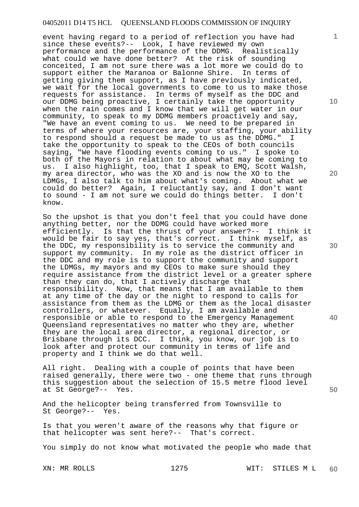event having regard to a period of reflection you have had since these events?-- Look, I have reviewed my own performance and the performance of the DDMG. Realistically what could we have done better? At the risk of sounding conceited, I am not sure there was a lot more we could do to support either the Maranoa or Balonne Shire. In terms of getting giving them support, as I have previously indicated, we wait for the local governments to come to us to make those requests for assistance. In terms of myself as the DDC and our DDMG being proactive, I certainly take the opportunity when the rain comes and I know that we will get water in our community, to speak to my DDMG members proactively and say, "We have an event coming to us. We need to be prepared in terms of where your resources are, your staffing, your ability to respond should a request be made to us as the DDMG." I take the opportunity to speak to the CEOs of both councils saying, "We have flooding events coming to us." I spoke to both of the Mayors in relation to about what may be coming to us. I also highlight, too, that I speak to EMQ, Scott Walsh, my area director, who was the XO and is now the XO to the LDMGs, I also talk to him about what's coming. About what we could do better? Again, I reluctantly say, and I don't want to sound - I am not sure we could do things better. I don't know.

So the upshot is that you don't feel that you could have done anything better, nor the DDMG could have worked more efficiently. Is that the thrust of your answer?-- I think it would be fair to say yes, that's correct. I think myself, as the DDC, my responsibility is to service the community and support my community. In my role as the district officer in the DDC and my role is to support the community and support the LDMGs, my mayors and my CEOs to make sure should they require assistance from the district level or a greater sphere than they can do, that I actively discharge that responsibility. Now, that means that I am available to them at any time of the day or the night to respond to calls for assistance from them as the LDMG or them as the local disaster controllers, or whatever. Equally, I am available and responsible or able to respond to the Emergency Management Queensland representatives no matter who they are, whether they are the local area director, a regional director, or Brisbane through its DCC. I think, you know, our job is to look after and protect our community in terms of life and property and I think we do that well.

All right. Dealing with a couple of points that have been raised generally, there were two - one theme that runs through this suggestion about the selection of 15.5 metre flood level at St George?-- Yes.

And the helicopter being transferred from Townsville to St George?-- Yes.

Is that you weren't aware of the reasons why that figure or that helicopter was sent here?-- That's correct.

You simply do not know what motivated the people who made that

**10** 

**1**

**20** 

**30** 

**40**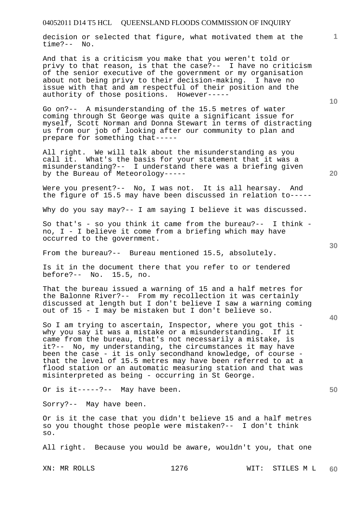decision or selected that figure, what motivated them at the time?-- No.

And that is a criticism you make that you weren't told or privy to that reason, is that the case?-- I have no criticism of the senior executive of the government or my organisation about not being privy to their decision-making. I have no issue with that and am respectful of their position and the authority of those positions. However-----

Go on?-- A misunderstanding of the 15.5 metres of water coming through St George was quite a significant issue for myself, Scott Norman and Donna Stewart in terms of distracting us from our job of looking after our community to plan and prepare for something that-----

All right. We will talk about the misunderstanding as you call it. What's the basis for your statement that it was a misunderstanding?-- I understand there was a briefing given by the Bureau of Meteorology-----

Were you present?-- No, I was not. It is all hearsay. And the figure of 15.5 may have been discussed in relation to-----

Why do you say may?-- I am saying I believe it was discussed.

So that's - so you think it came from the bureau?-- I think no, I - I believe it come from a briefing which may have occurred to the government.

From the bureau?-- Bureau mentioned 15.5, absolutely.

Is it in the document there that you refer to or tendered before?-- No. 15.5, no.

That the bureau issued a warning of 15 and a half metres for the Balonne River?-- From my recollection it was certainly discussed at length but I don't believe I saw a warning coming out of 15 - I may be mistaken but I don't believe so.

So I am trying to ascertain, Inspector, where you got this why you say it was a mistake or a misunderstanding. If it came from the bureau, that's not necessarily a mistake, is it?-- No, my understanding, the circumstances it may have been the case - it is only secondhand knowledge, of course that the level of 15.5 metres may have been referred to at a flood station or an automatic measuring station and that was misinterpreted as being - occurring in St George.

Or is it-----?-- May have been.

Sorry?-- May have been.

Or is it the case that you didn't believe 15 and a half metres so you thought those people were mistaken?-- I don't think so.

All right. Because you would be aware, wouldn't you, that one

**20** 

**10** 

**1**

**30**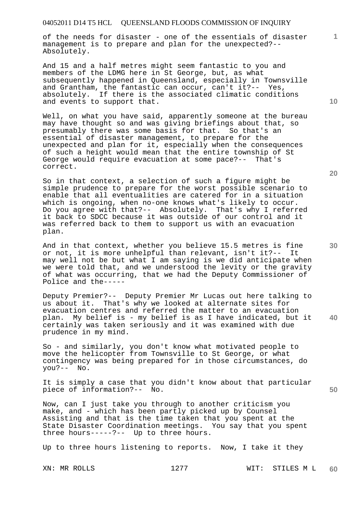of the needs for disaster - one of the essentials of disaster management is to prepare and plan for the unexpected?-- Absolutely.

And 15 and a half metres might seem fantastic to you and members of the LDMG here in St George, but, as what subsequently happened in Queensland, especially in Townsville and Grantham, the fantastic can occur, can't it?-- Yes, absolutely. If there is the associated climatic conditions and events to support that.

Well, on what you have said, apparently someone at the bureau may have thought so and was giving briefings about that, so presumably there was some basis for that. So that's an essential of disaster management, to prepare for the unexpected and plan for it, especially when the consequences of such a height would mean that the entire township of St George would require evacuation at some pace?-- That's correct.

So in that context, a selection of such a figure might be simple prudence to prepare for the worst possible scenario to enable that all eventualities are catered for in a situation which is ongoing, when no-one knows what's likely to occur. Do you agree with that?-- Absolutely. That's why I referred it back to SDCC because it was outside of our control and it was referred back to them to support us with an evacuation plan.

And in that context, whether you believe 15.5 metres is fine or not, it is more unhelpful than relevant, isn't it?-- It may well not be but what I am saying is we did anticipate when we were told that, and we understood the levity or the gravity of what was occurring, that we had the Deputy Commissioner of Police and the-----

Deputy Premier?-- Deputy Premier Mr Lucas out here talking to us about it. That's why we looked at alternate sites for evacuation centres and referred the matter to an evacuation plan. My belief is - my belief is as I have indicated, but it certainly was taken seriously and it was examined with due prudence in my mind.

So - and similarly, you don't know what motivated people to move the helicopter from Townsville to St George, or what contingency was being prepared for in those circumstances, do you?-- No.

It is simply a case that you didn't know about that particular piece of information?-- No.

Now, can I just take you through to another criticism you make, and - which has been partly picked up by Counsel Assisting and that is the time taken that you spent at the State Disaster Coordination meetings. You say that you spent three hours-----?-- Up to three hours.

Up to three hours listening to reports. Now, I take it they

**10** 

**1**

**40**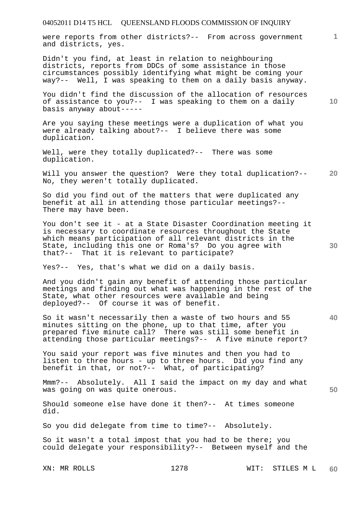were reports from other districts?-- From across government and districts, yes.

Didn't you find, at least in relation to neighbouring districts, reports from DDCs of some assistance in those circumstances possibly identifying what might be coming your way?-- Well, I was speaking to them on a daily basis anyway.

You didn't find the discussion of the allocation of resources of assistance to you?-- I was speaking to them on a daily basis anyway about-----

Are you saying these meetings were a duplication of what you were already talking about?-- I believe there was some duplication.

Well, were they totally duplicated?-- There was some duplication.

**20**  Will you answer the question? Were they total duplication?-- No, they weren't totally duplicated.

So did you find out of the matters that were duplicated any benefit at all in attending those particular meetings?-- There may have been.

You don't see it - at a State Disaster Coordination meeting it is necessary to coordinate resources throughout the State which means participation of all relevant districts in the State, including this one or Roma's? Do you agree with that?-- That it is relevant to participate?

Yes?-- Yes, that's what we did on a daily basis.

And you didn't gain any benefit of attending those particular meetings and finding out what was happening in the rest of the State, what other resources were available and being deployed?-- Of course it was of benefit.

So it wasn't necessarily then a waste of two hours and 55 minutes sitting on the phone, up to that time, after you prepared five minute call? There was still some benefit in attending those particular meetings?-- A five minute report?

You said your report was five minutes and then you had to listen to three hours - up to three hours. Did you find any benefit in that, or not?-- What, of participating?

Mmm?-- Absolutely. All I said the impact on my day and what was going on was quite onerous.

Should someone else have done it then?-- At times someone did.

So you did delegate from time to time?-- Absolutely.

So it wasn't a total impost that you had to be there; you could delegate your responsibility?-- Between myself and the

**1**

**10** 

**30** 

**40**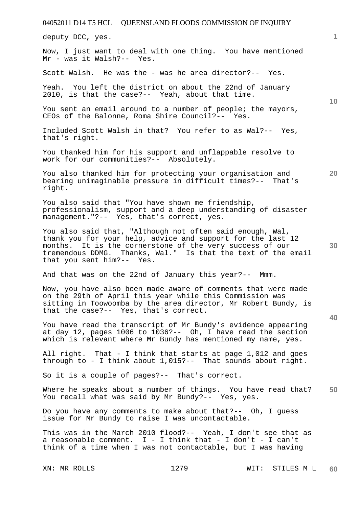04052011 D14 T5 HCL QUEENSLAND FLOODS COMMISSION OF INQUIRY XN: MR ROLLS 1279 WIT: STILES M L **1 10 20 30 40 50 60**  deputy DCC, yes. Now, I just want to deal with one thing. You have mentioned Mr - was it Walsh?-- Yes. Scott Walsh. He was the - was he area director?-- Yes. Yeah. You left the district on about the 22nd of January 2010, is that the case?-- Yeah, about that time. You sent an email around to a number of people; the mayors, CEOs of the Balonne, Roma Shire Council?-- Yes. Included Scott Walsh in that? You refer to as Wal?-- Yes, that's right. You thanked him for his support and unflappable resolve to work for our communities?-- Absolutely. You also thanked him for protecting your organisation and bearing unimaginable pressure in difficult times?-- That's right. You also said that "You have shown me friendship, professionalism, support and a deep understanding of disaster management."?-- Yes, that's correct, yes. You also said that, "Although not often said enough, Wal, thank you for your help, advice and support for the last 12 months. It is the cornerstone of the very success of our tremendous DDMG. Thanks, Wal." Is that the text of the email that you sent him?-- Yes. And that was on the 22nd of January this year?-- Mmm. Now, you have also been made aware of comments that were made on the 29th of April this year while this Commission was sitting in Toowoomba by the area director, Mr Robert Bundy, is that the case?-- Yes, that's correct. You have read the transcript of Mr Bundy's evidence appearing at day 12, pages 1006 to 1036?-- Oh, I have read the section which is relevant where Mr Bundy has mentioned my name, yes. All right. That - I think that starts at page 1,012 and goes through to - I think about 1,015?-- That sounds about right. So it is a couple of pages?-- That's correct. Where he speaks about a number of things. You have read that? You recall what was said by Mr Bundy?-- Yes, yes. Do you have any comments to make about that?-- Oh, I guess issue for Mr Bundy to raise I was uncontactable. This was in the March 2010 flood?-- Yeah, I don't see that as a reasonable comment.  $I - I$  think that - I don't - I can't think of a time when I was not contactable, but I was having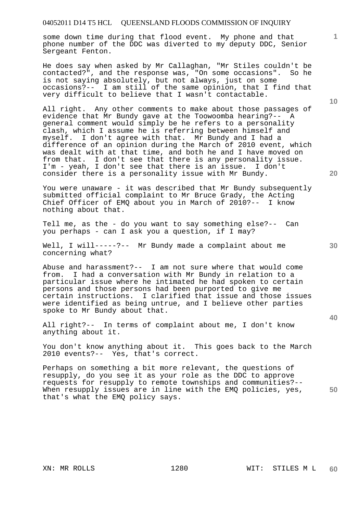some down time during that flood event. My phone and that phone number of the DDC was diverted to my deputy DDC, Senior Sergeant Fenton.

He does say when asked by Mr Callaghan, "Mr Stiles couldn't be contacted?", and the response was, "On some occasions". So he is not saying absolutely, but not always, just on some occasions?-- I am still of the same opinion, that I find that very difficult to believe that I wasn't contactable.

All right. Any other comments to make about those passages of evidence that Mr Bundy gave at the Toowoomba hearing?-- A general comment would simply be he refers to a personality clash, which I assume he is referring between himself and myself. I don't agree with that. Mr Bundy and I had a difference of an opinion during the March of 2010 event, which was dealt with at that time, and both he and I have moved on from that. I don't see that there is any personality issue. I'm - yeah, I don't see that there is an issue. I don't consider there is a personality issue with Mr Bundy.

You were unaware - it was described that Mr Bundy subsequently submitted official complaint to Mr Bruce Grady, the Acting Chief Officer of EMQ about you in March of 2010?-- I know nothing about that.

Tell me, as the - do you want to say something else?-- Can you perhaps - can I ask you a question, if I may?

Well, I will-----?-- Mr Bundy made a complaint about me concerning what?

Abuse and harassment?-- I am not sure where that would come from. I had a conversation with Mr Bundy in relation to a particular issue where he intimated he had spoken to certain persons and those persons had been purported to give me certain instructions. I clarified that issue and those issues were identified as being untrue, and I believe other parties spoke to Mr Bundy about that.

All right?-- In terms of complaint about me, I don't know anything about it.

You don't know anything about it. This goes back to the March 2010 events?-- Yes, that's correct.

Perhaps on something a bit more relevant, the questions of resupply, do you see it as your role as the DDC to approve requests for resupply to remote townships and communities?-- When resupply issues are in line with the EMQ policies, yes, that's what the EMQ policy says.

**10** 

**1**

**20** 

**40** 

**50**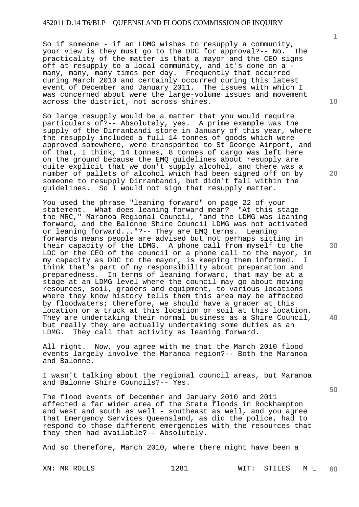So if someone - if an LDMG wishes to resupply a community,<br>vour view is they must go to the DDC for approval?-- No. The your view is they must go to the DDC for approval?-- No. practicality of the matter is that a mayor and the CEO signs off at resupply to a local community, and it's done on a many, many, many times per day. Frequently that occurred during March 2010 and certainly occurred during this latest event of December and January 2011. The issues with which I was concerned about were the large-volume issues and movement across the district, not across shires.

So large resupply would be a matter that you would require particulars of?-- Absolutely, yes. A prime example was the supply of the Dirranbandi store in January of this year, where the resupply included a full 14 tonnes of goods which were approved somewhere, were transported to St George Airport, and of that, I think, 14 tonnes, 8 tonnes of cargo was left here on the ground because the EMQ guidelines about resupply are quite explicit that we don't supply alcohol, and there was a number of pallets of alcohol which had been signed off on by someone to resupply Dirranbandi, but didn't fall within the<br>quidelines. So I would not sign that resupply matter. So I would not sign that resupply matter.

You used the phrase "leaning forward" on page 22 of your statement. What does leaning forward mean? "At this stage the MRC," Maranoa Regional Council, "and the LDMG was leaning forward, and the Balonne Shire Council LDMG was not activated or leaning forward..."?-- They are EMQ terms. Leaning forwards means people are advised but not perhaps sitting in their capacity of the LDMG. A phone call from myself to the LDC or the CEO of the council or a phone call to the mayor, in my capacity as DDC to the mayor, is keeping them informed. I think that's part of my responsibility about preparation and preparedness. In terms of leaning forward, that may be at a stage at an LDMG level where the council may go about moving resources, soil, graders and equipment, to various locations where they know history tells them this area may be affected by floodwaters; therefore, we should have a grader at this location or a truck at this location or soil at this location. They are undertaking their normal business as a Shire Council, but really they are actually undertaking some duties as an LDMG. They call that activity as leaning forward.

All right. Now, you agree with me that the March 2010 flood events largely involve the Maranoa region?-- Both the Maranoa and Balonne.

I wasn't talking about the regional council areas, but Maranoa and Balonne Shire Councils?-- Yes.

The flood events of December and January 2010 and 2011 affected a far wider area of the State floods in Rockhampton and west and south as well - southeast as well, and you agree that Emergency Services Queensland, as did the police, had to respond to those different emergencies with the resources that they then had available?-- Absolutely.

And so therefore, March 2010, where there might have been a

XN: MR ROLLS 1281 WIT: STILES M L **60** 

**10** 

**1**

**20** 

**30** 

**50**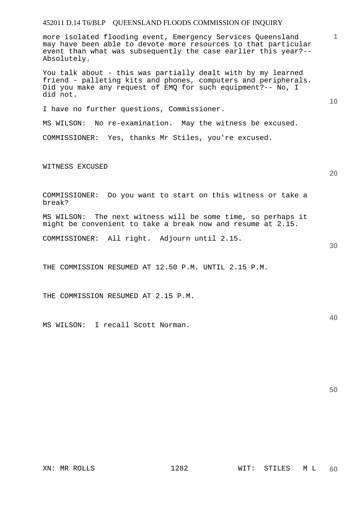more isolated flooding event, Emergency Services Queensland may have been able to devote more resources to that particular event than what was subsequently the case earlier this year?-- Absolutely.

You talk about - this was partially dealt with by my learned friend - palleting kits and phones, computers and peripherals. Did you make any request of EMQ for such equipment?-- No, I did not.

I have no further questions, Commissioner.

MS WILSON: No re-examination. May the witness be excused.

COMMISSIONER: Yes, thanks Mr Stiles, you're excused.

WITNESS EXCUSED

**20** 

**30** 

**40** 

**50** 

**1**

**10** 

COMMISSIONER: Do you want to start on this witness or take a break?

MS WILSON: The next witness will be some time, so perhaps it might be convenient to take a break now and resume at 2.15.

COMMISSIONER: All right. Adjourn until 2.15.

THE COMMISSION RESUMED AT 12.50 P.M. UNTIL 2.15 P.M.

THE COMMISSION RESUMED AT 2.15 P.M.

MS WILSON: I recall Scott Norman.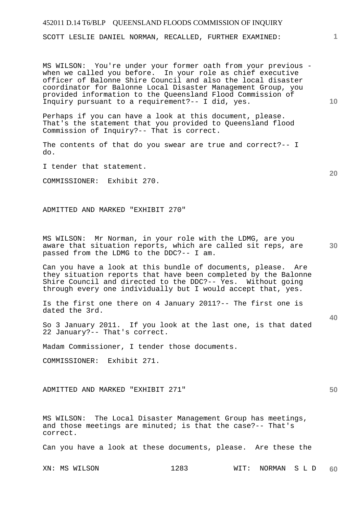SCOTT LESLIE DANIEL NORMAN, RECALLED, FURTHER EXAMINED:

MS WILSON: You're under your former oath from your previous when we called you before. In your role as chief executive officer of Balonne Shire Council and also the local disaster coordinator for Balonne Local Disaster Management Group, you provided information to the Queensland Flood Commission of Inquiry pursuant to a requirement?-- I did, yes.

Perhaps if you can have a look at this document, please. That's the statement that you provided to Queensland flood Commission of Inquiry?-- That is correct.

The contents of that do you swear are true and correct?-- I do.

I tender that statement.

COMMISSIONER: Exhibit 270.

ADMITTED AND MARKED "EXHIBIT 270"

**30**  MS WILSON: Mr Norman, in your role with the LDMG, are you aware that situation reports, which are called sit reps, are passed from the LDMG to the DDC?-- I am.

Can you have a look at this bundle of documents, please. Are they situation reports that have been completed by the Balonne Shire Council and directed to the DDC?-- Yes. Without going through every one individually but I would accept that, yes.

Is the first one there on 4 January 2011?-- The first one is dated the 3rd.

So 3 January 2011. If you look at the last one, is that dated 22 January?-- That's correct.

Madam Commissioner, I tender those documents.

COMMISSIONER: Exhibit 271.

ADMITTED AND MARKED "EXHIBIT 271"

MS WILSON: The Local Disaster Management Group has meetings, and those meetings are minuted; is that the case?-- That's correct.

Can you have a look at these documents, please. Are these the

XN: MS WILSON 1283 WIT: NORMAN S L D **60** 

**1**

**10** 

**40**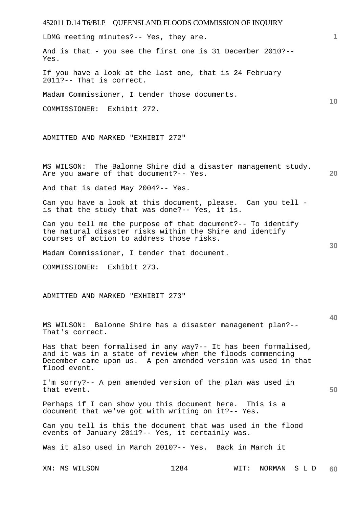452011 D.14 T6/BLP QUEENSLAND FLOODS COMMISSION OF INQUIRY XN: MS WILSON 1284 WIT: NORMAN S L D **1 10 20 30 40 50 60**  LDMG meeting minutes?-- Yes, they are. And is that - you see the first one is 31 December 2010?-- Yes. If you have a look at the last one, that is 24 February 2011?-- That is correct. Madam Commissioner, I tender those documents. COMMISSIONER: Exhibit 272. ADMITTED AND MARKED "EXHIBIT 272" MS WILSON: The Balonne Shire did a disaster management study. Are you aware of that document?-- Yes. And that is dated May 2004?-- Yes. Can you have a look at this document, please. Can you tell is that the study that was done?-- Yes, it is. Can you tell me the purpose of that document?-- To identify the natural disaster risks within the Shire and identify courses of action to address those risks. Madam Commissioner, I tender that document. COMMISSIONER: Exhibit 273. ADMITTED AND MARKED "EXHIBIT 273" MS WILSON: Balonne Shire has a disaster management plan?-- That's correct. Has that been formalised in any way?-- It has been formalised, and it was in a state of review when the floods commencing December came upon us. A pen amended version was used in that flood event. I'm sorry?-- A pen amended version of the plan was used in that event. Perhaps if I can show you this document here. This is a document that we've got with writing on it?-- Yes. Can you tell is this the document that was used in the flood events of January 2011?-- Yes, it certainly was. Was it also used in March 2010?-- Yes. Back in March it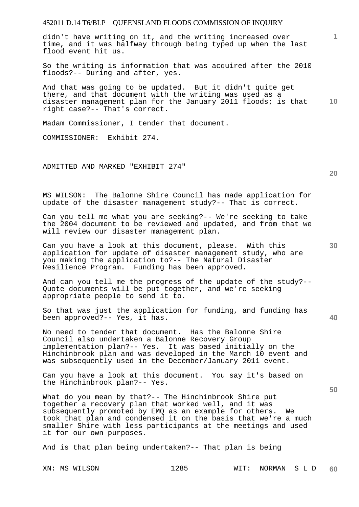didn't have writing on it, and the writing increased over time, and it was halfway through being typed up when the last flood event hit us.

So the writing is information that was acquired after the 2010 floods?-- During and after, yes.

**10**  And that was going to be updated. But it didn't quite get there, and that document with the writing was used as a disaster management plan for the January 2011 floods; is that right case?-- That's correct.

Madam Commissioner, I tender that document.

COMMISSIONER: Exhibit 274.

ADMITTED AND MARKED "EXHIBIT 274"

MS WILSON: The Balonne Shire Council has made application for update of the disaster management study?-- That is correct.

Can you tell me what you are seeking?-- We're seeking to take the 2004 document to be reviewed and updated, and from that we will review our disaster management plan.

Can you have a look at this document, please. With this application for update of disaster management study, who are you making the application to?-- The Natural Disaster Resilience Program. Funding has been approved.

And can you tell me the progress of the update of the study?-- Quote documents will be put together, and we're seeking appropriate people to send it to.

So that was just the application for funding, and funding has been approved?-- Yes, it has.

No need to tender that document. Has the Balonne Shire Council also undertaken a Balonne Recovery Group implementation plan?-- Yes. It was based initially on the Hinchinbrook plan and was developed in the March 10 event and was subsequently used in the December/January 2011 event.

Can you have a look at this document. You say it's based on the Hinchinbrook plan?-- Yes.

What do you mean by that?-- The Hinchinbrook Shire put together a recovery plan that worked well, and it was subsequently promoted by EMQ as an example for others. We took that plan and condensed it on the basis that we're a much smaller Shire with less participants at the meetings and used it for our own purposes.

And is that plan being undertaken?-- That plan is being

XN: MS WILSON 1285 WIT: NORMAN S L D **60** 

**30** 

**40** 

**50** 

**20**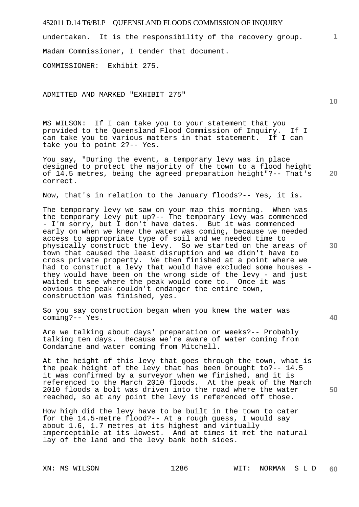undertaken. It is the responsibility of the recovery group. Madam Commissioner, I tender that document.

COMMISSIONER: Exhibit 275.

ADMITTED AND MARKED "EXHIBIT 275"

MS WILSON: If I can take you to your statement that you provided to the Queensland Flood Commission of Inquiry. If I can take you to various matters in that statement. If I can take you to point 2?-- Yes.

**20**  You say, "During the event, a temporary levy was in place designed to protect the majority of the town to a flood height of 14.5 metres, being the agreed preparation height"?-- That's correct.

Now, that's in relation to the January floods?-- Yes, it is.

The temporary levy we saw on your map this morning. When was the temporary levy put up?-- The temporary levy was commenced - I'm sorry, but I don't have dates. But it was commenced early on when we knew the water was coming, because we needed access to appropriate type of soil and we needed time to physically construct the levy. So we started on the areas of town that caused the least disruption and we didn't have to cross private property. We then finished at a point where we had to construct a levy that would have excluded some houses they would have been on the wrong side of the levy - and just waited to see where the peak would come to. Once it was obvious the peak couldn't endanger the entire town, construction was finished, yes.

So you say construction began when you knew the water was coming?-- Yes.

Are we talking about days' preparation or weeks?-- Probably talking ten days. Because we're aware of water coming from Condamine and water coming from Mitchell.

At the height of this levy that goes through the town, what is the peak height of the levy that has been brought to?-- 14.5 it was confirmed by a surveyor when we finished, and it is referenced to the March 2010 floods. At the peak of the March 2010 floods a bolt was driven into the road where the water reached, so at any point the levy is referenced off those.

How high did the levy have to be built in the town to cater for the 14.5-metre flood?-- At a rough guess, I would say about 1.6, 1.7 metres at its highest and virtually imperceptible at its lowest. And at times it met the natural lay of the land and the levy bank both sides.

**10** 

**1**

**30**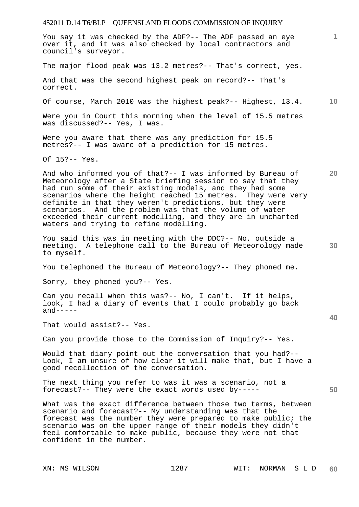You say it was checked by the ADF?-- The ADF passed an eye over it, and it was also checked by local contractors and council's surveyor.

The major flood peak was 13.2 metres?-- That's correct, yes.

And that was the second highest peak on record?-- That's correct.

Of course, March 2010 was the highest peak?-- Highest, 13.4.

Were you in Court this morning when the level of 15.5 metres was discussed?-- Yes, I was.

Were you aware that there was any prediction for 15.5 metres?-- I was aware of a prediction for 15 metres.

Of 15?-- Yes.

And who informed you of that?-- I was informed by Bureau of Meteorology after a State briefing session to say that they had run some of their existing models, and they had some scenarios where the height reached 15 metres. They were very definite in that they weren't predictions, but they were scenarios. And the problem was that the volume of water exceeded their current modelling, and they are in uncharted waters and trying to refine modelling.

You said this was in meeting with the DDC?-- No, outside a meeting. A telephone call to the Bureau of Meteorology made to myself.

You telephoned the Bureau of Meteorology?-- They phoned me.

Sorry, they phoned you?-- Yes.

Can you recall when this was?-- No, I can't. If it helps, look, I had a diary of events that I could probably go back  $and---$ 

That would assist?-- Yes.

Can you provide those to the Commission of Inquiry?-- Yes.

Would that diary point out the conversation that you had?-- Look, I am unsure of how clear it will make that, but I have a good recollection of the conversation.

The next thing you refer to was it was a scenario, not a forecast?-- They were the exact words used by-----

What was the exact difference between those two terms, between scenario and forecast?-- My understanding was that the forecast was the number they were prepared to make public; the scenario was on the upper range of their models they didn't feel comfortable to make public, because they were not that confident in the number.

**10** 

**20** 

**30** 

**1**

**40**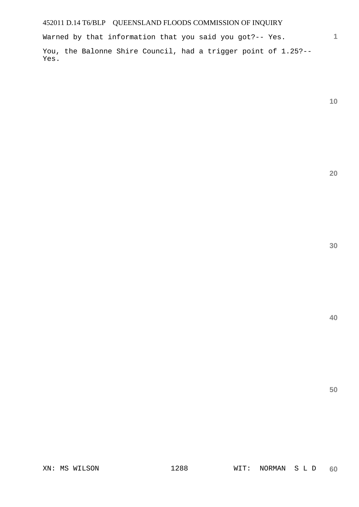Warned by that information that you said you got?-- Yes.

You, the Balonne Shire Council, had a trigger point of 1.25?-- Yes.

**10** 

**1**

**20** 

**30** 

**40**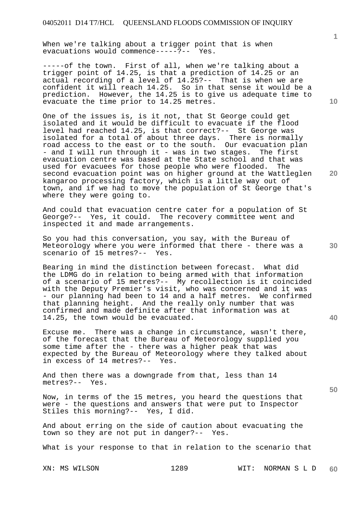When we're talking about a trigger point that is when evacuations would commence-----?-- Yes.

-----of the town. First of all, when we're talking about a trigger point of 14.25, is that a prediction of 14.25 or an actual recording of a level of 14.25?-- That is when we are confident it will reach 14.25. So in that sense it would be a prediction. However, the 14.25 is to give us adequate time to evacuate the time prior to 14.25 metres.

One of the issues is, is it not, that St George could get isolated and it would be difficult to evacuate if the flood level had reached 14.25, is that correct?-- St George was isolated for a total of about three days. There is normally road access to the east or to the south. Our evacuation plan - and I will run through it - was in two stages. The first evacuation centre was based at the State school and that was used for evacuees for those people who were flooded. The second evacuation point was on higher ground at the Wattleglen kangaroo processing factory, which is a little way out of town, and if we had to move the population of St George that's where they were going to.

And could that evacuation centre cater for a population of St George?-- Yes, it could. The recovery committee went and inspected it and made arrangements.

So you had this conversation, you say, with the Bureau of Meteorology where you were informed that there - there was a scenario of 15 metres?-- Yes.

Bearing in mind the distinction between forecast. What did the LDMG do in relation to being armed with that information of a scenario of 15 metres?-- My recollection is it coincided with the Deputy Premier's visit, who was concerned and it was - our planning had been to 14 and a half metres. We confirmed that planning height. And the really only number that was confirmed and made definite after that information was at 14.25, the town would be evacuated.

Excuse me. There was a change in circumstance, wasn't there, of the forecast that the Bureau of Meteorology supplied you some time after the - there was a higher peak that was expected by the Bureau of Meteorology where they talked about in excess of 14 metres?-- Yes.

And then there was a downgrade from that, less than 14 metres?-- Yes.

Now, in terms of the 15 metres, you heard the questions that were - the questions and answers that were put to Inspector Stiles this morning?-- Yes, I did.

And about erring on the side of caution about evacuating the town so they are not put in danger?-- Yes.

What is your response to that in relation to the scenario that

XN: MS WILSON 1289 WIT: NORMAN S L D **60** 

**10** 

**1**

**20** 

**40**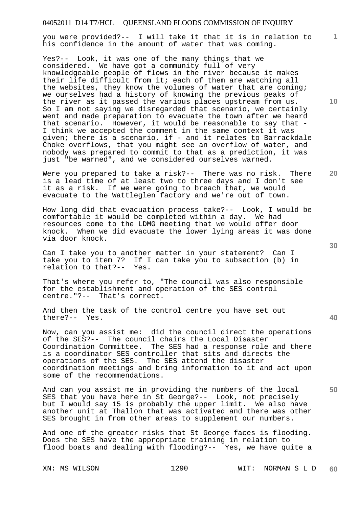you were provided?-- I will take it that it is in relation to his confidence in the amount of water that was coming.

Yes?-- Look, it was one of the many things that we considered. We have got a community full of very knowledgeable people of flows in the river because it makes their life difficult from it; each of them are watching all the websites, they know the volumes of water that are coming; we ourselves had a history of knowing the previous peaks of the river as it passed the various places upstream from us. So I am not saying we disregarded that scenario, we certainly went and made preparation to evacuate the town after we heard that scenario. However, it would be reasonable to say that - I think we accepted the comment in the same context it was given; there is a scenario, if - and it relates to Barrackdale Choke overflows, that you might see an overflow of water, and nobody was prepared to commit to that as a prediction, it was just "be warned", and we considered ourselves warned.

Were you prepared to take a risk?-- There was no risk. There is a lead time of at least two to three days and I don't see it as a risk. If we were going to breach that, we would evacuate to the Wattleglen factory and we're out of town.

How long did that evacuation process take?-- Look, I would be comfortable it would be completed within a day. We had resources come to the LDMG meeting that we would offer door knock. When we did evacuate the lower lying areas it was done via door knock.

Can I take you to another matter in your statement? Can I take you to item 7? If I can take you to subsection (b) in relation to that?-- Yes.

That's where you refer to, "The council was also responsible for the establishment and operation of the SES control centre."?-- That's correct.

And then the task of the control centre you have set out there?-- Yes.

Now, can you assist me: did the council direct the operations of the SES?-- The council chairs the Local Disaster Coordination Committee. The SES had a response role and there is a coordinator SES controller that sits and directs the operations of the SES. The SES attend the disaster coordination meetings and bring information to it and act upon some of the recommendations.

And can you assist me in providing the numbers of the local SES that you have here in St George?-- Look, not precisely but I would say 15 is probably the upper limit. We also have another unit at Thallon that was activated and there was other SES brought in from other areas to supplement our numbers.

And one of the greater risks that St George faces is flooding. Does the SES have the appropriate training in relation to flood boats and dealing with flooding?-- Yes, we have quite a

XN: MS WILSON 1290 WIT: NORMAN S L D **60** 

**30** 

**20** 

**50** 

**10**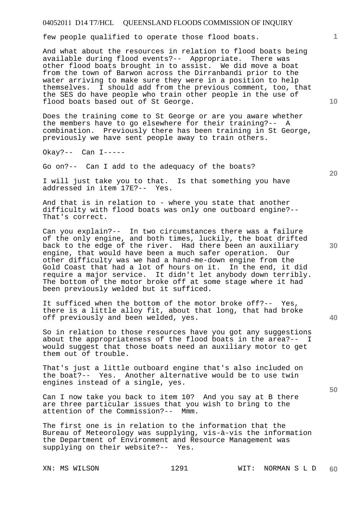few people qualified to operate those flood boats.

And what about the resources in relation to flood boats being available during flood events?-- Appropriate. There was other flood boats brought in to assist. We did move a boat from the town of Barwon across the Dirranbandi prior to the water arriving to make sure they were in a position to help themselves. I should add from the previous comment, too, that the SES do have people who train other people in the use of flood boats based out of St George.

Does the training come to St George or are you aware whether the members have to go elsewhere for their training?-- A combination. Previously there has been training in St George, previously we have sent people away to train others.

Okay?-- Can I-----

Go on?-- Can I add to the adequacy of the boats?

I will just take you to that. Is that something you have addressed in item 17E?-- Yes.

And that is in relation to - where you state that another difficulty with flood boats was only one outboard engine?-- That's correct.

Can you explain?-- In two circumstances there was a failure of the only engine, and both times, luckily, the boat drifted back to the edge of the river. Had there been an auxiliary engine, that would have been a much safer operation. Our other difficulty was we had a hand-me-down engine from the Gold Coast that had a lot of hours on it. In the end, it did require a major service. It didn't let anybody down terribly. The bottom of the motor broke off at some stage where it had been previously welded but it sufficed.

It sufficed when the bottom of the motor broke off?-- Yes, there is a little alloy fit, about that long, that had broke off previously and been welded, yes.

So in relation to those resources have you got any suggestions about the appropriateness of the flood boats in the area?-- I would suggest that those boats need an auxiliary motor to get them out of trouble.

That's just a little outboard engine that's also included on the boat?-- Yes. Another alternative would be to use twin engines instead of a single, yes.

Can I now take you back to item 10? And you say at B there are three particular issues that you wish to bring to the attention of the Commission?-- Mmm.

The first one is in relation to the information that the Bureau of Meteorology was supplying, vis-à-vis the information the Department of Environment and Resource Management was supplying on their website?-- Yes.

**10** 

**1**

**20** 

**40**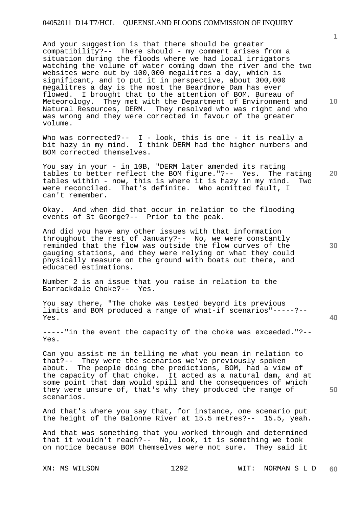And your suggestion is that there should be greater compatibility?-- There should - my comment arises from a situation during the floods where we had local irrigators watching the volume of water coming down the river and the two websites were out by 100,000 megalitres a day, which is significant, and to put it in perspective, about 300,000 megalitres a day is the most the Beardmore Dam has ever flowed. I brought that to the attention of BOM, Bureau of Meteorology. They met with the Department of Environment and Natural Resources, DERM. They resolved who was right and who was wrong and they were corrected in favour of the greater volume.

Who was corrected?--  $I - I$  - look, this is one - it is really a bit hazy in my mind. I think DERM had the higher numbers and I think DERM had the higher numbers and BOM corrected themselves.

**20**  You say in your - in 10B, "DERM later amended its rating tables to better reflect the BOM figure."?-- Yes. The rating tables within - now, this is where it is hazy in my mind. Two were reconciled. That's definite. Who admitted fault, I can't remember.

Okay. And when did that occur in relation to the flooding events of St George?-- Prior to the peak.

And did you have any other issues with that information throughout the rest of January?-- No, we were constantly reminded that the flow was outside the flow curves of the gauging stations, and they were relying on what they could physically measure on the ground with boats out there, and educated estimations.

Number 2 is an issue that you raise in relation to the Barrackdale Choke?-- Yes.

You say there, "The choke was tested beyond its previous limits and BOM produced a range of what-if scenarios"-----?-- Yes.

-----"in the event the capacity of the choke was exceeded."?-- Yes.

Can you assist me in telling me what you mean in relation to that?-- They were the scenarios we've previously spoken about. The people doing the predictions, BOM, had a view of the capacity of that choke. It acted as a natural dam, and at some point that dam would spill and the consequences of which they were unsure of, that's why they produced the range of scenarios.

And that's where you say that, for instance, one scenario put the height of the Balonne River at 15.5 metres?-- 15.5, yeah.

And that was something that you worked through and determined that it wouldn't reach?-- No, look, it is something we took on notice because BOM themselves were not sure. They said it

XN: MS WILSON 1292 WIT: NORMAN S L D **60** 

**30** 

**1**

**10** 

**40**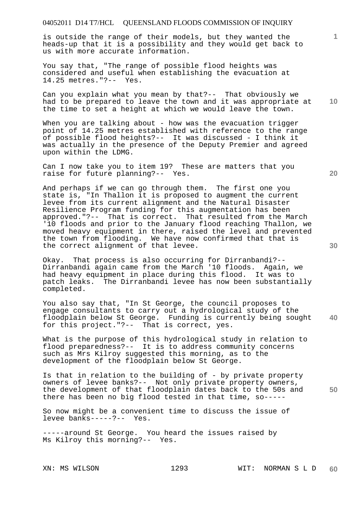is outside the range of their models, but they wanted the heads-up that it is a possibility and they would get back to us with more accurate information.

You say that, "The range of possible flood heights was considered and useful when establishing the evacuation at 14.25 metres."?-- Yes.

Can you explain what you mean by that?-- That obviously we had to be prepared to leave the town and it was appropriate at the time to set a height at which we would leave the town.

When you are talking about - how was the evacuation trigger point of 14.25 metres established with reference to the range of possible flood heights?-- It was discussed - I think it was actually in the presence of the Deputy Premier and agreed upon within the LDMG.

Can I now take you to item 19? These are matters that you raise for future planning?-- Yes.

And perhaps if we can go through them. The first one you state is, "In Thallon it is proposed to augment the current levee from its current alignment and the Natural Disaster Resilience Program funding for this augmentation has been approved."?-- That is correct. That resulted from the March '10 floods and prior to the January flood reaching Thallon, we moved heavy equipment in there, raised the level and prevented the town from flooding. We have now confirmed that that is the correct alignment of that levee.

Okay. That process is also occurring for Dirranbandi?-- Dirranbandi again came from the March '10 floods. Again, we had heavy equipment in place during this flood. It was to patch leaks. The Dirranbandi levee has now been substantially completed.

**40**  You also say that, "In St George, the council proposes to engage consultants to carry out a hydrological study of the floodplain below St George. Funding is currently being sought for this project."?-- That is correct, yes.

What is the purpose of this hydrological study in relation to flood preparedness?-- It is to address community concerns such as Mrs Kilroy suggested this morning, as to the development of the floodplain below St George.

Is that in relation to the building of - by private property owners of levee banks?-- Not only private property owners, the development of that floodplain dates back to the 50s and there has been no big flood tested in that time, so-----

So now might be a convenient time to discuss the issue of levee banks-----?-- Yes.

-----around St George. You heard the issues raised by Ms Kilroy this morning?-- Yes.

**20** 

**30** 

**10** 

**1**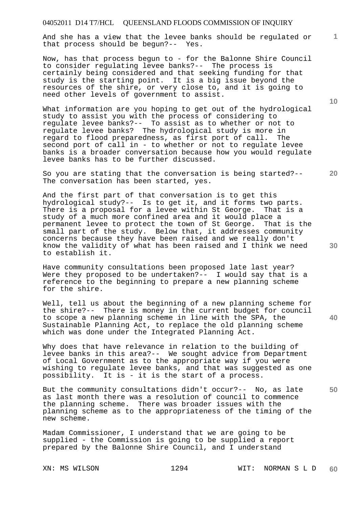And she has a view that the levee banks should be regulated or that process should be begun?-- Yes.

Now, has that process begun to - for the Balonne Shire Council to consider regulating levee banks?-- The process is certainly being considered and that seeking funding for that study is the starting point. It is a big issue beyond the resources of the shire, or very close to, and it is going to need other levels of government to assist.

What information are you hoping to get out of the hydrological study to assist you with the process of considering to regulate levee banks?-- To assist as to whether or not to regulate levee banks? The hydrological study is more in regard to flood preparedness, as first port of call. The second port of call in - to whether or not to regulate levee banks is a broader conversation because how you would regulate levee banks has to be further discussed.

So you are stating that the conversation is being started?-- The conversation has been started, yes.

And the first part of that conversation is to get this hydrological study?-- Is to get it, and it forms two parts. There is a proposal for a levee within St George. That is a study of a much more confined area and it would place a permanent levee to protect the town of St George. That is the small part of the study. Below that, it addresses community concerns because they have been raised and we really don't know the validity of what has been raised and I think we need to establish it.

Have community consultations been proposed late last year? Were they proposed to be undertaken?-- I would say that is a reference to the beginning to prepare a new planning scheme for the shire.

Well, tell us about the beginning of a new planning scheme for the shire?-- There is money in the current budget for council to scope a new planning scheme in line with the SPA, the Sustainable Planning Act, to replace the old planning scheme which was done under the Integrated Planning Act.

Why does that have relevance in relation to the building of levee banks in this area?-- We sought advice from Department of Local Government as to the appropriate way if you were wishing to regulate levee banks, and that was suggested as one possibility. It is - it is the start of a process.

But the community consultations didn't occur?-- No, as late as last month there was a resolution of council to commence the planning scheme. There was broader issues with the planning scheme as to the appropriateness of the timing of the new scheme.

Madam Commissioner, I understand that we are going to be supplied - the Commission is going to be supplied a report prepared by the Balonne Shire Council, and I understand

XN: MS WILSON 1294 WIT: NORMAN S L D **60** 

**20** 

**10** 

**1**

**30** 

**40**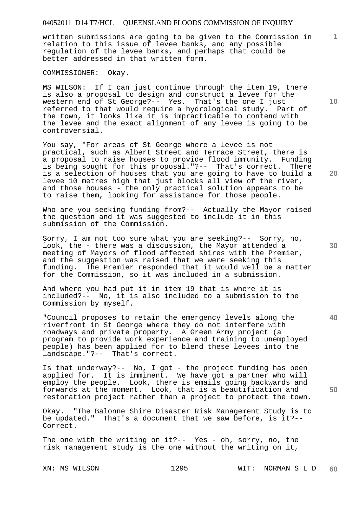written submissions are going to be given to the Commission in relation to this issue of levee banks, and any possible regulation of the levee banks, and perhaps that could be better addressed in that written form.

COMMISSIONER: Okay.

MS WILSON: If I can just continue through the item 19, there is also a proposal to design and construct a levee for the western end of St George?-- Yes. That's the one I just referred to that would require a hydrological study. Part of the town, it looks like it is impracticable to contend with the levee and the exact alignment of any levee is going to be controversial.

You say, "For areas of St George where a levee is not practical, such as Albert Street and Terrace Street, there is a proposal to raise houses to provide flood immunity. Funding is being sought for this proposal."?-- That's correct. There is a selection of houses that you are going to have to build a levee 10 metres high that just blocks all view of the river, and those houses - the only practical solution appears to be to raise them, looking for assistance for those people.

Who are you seeking funding from?-- Actually the Mayor raised the question and it was suggested to include it in this submission of the Commission.

Sorry, I am not too sure what you are seeking?-- Sorry, no, look, the - there was a discussion, the Mayor attended a meeting of Mayors of flood affected shires with the Premier, and the suggestion was raised that we were seeking this funding. The Premier responded that it would well be a The Premier responded that it would well be a matter for the Commission, so it was included in a submission.

And where you had put it in item 19 that is where it is included?-- No, it is also included to a submission to the Commission by myself.

"Council proposes to retain the emergency levels along the riverfront in St George where they do not interfere with roadways and private property. A Green Army project (a program to provide work experience and training to unemployed people) has been applied for to blend these levees into the landscape."?-- That's correct.

Is that underway?-- No, I got - the project funding has been applied for. It is imminent. We have got a partner who will employ the people. Look, there is emails going backwards and forwards at the moment. Look, that is a beautification and restoration project rather than a project to protect the town.

Okay. "The Balonne Shire Disaster Risk Management Study is to be updated." That's a document that we saw before, is it?-- Correct.

The one with the writing on it?-- Yes - oh, sorry, no, the risk management study is the one without the writing on it,

XN: MS WILSON 1295 WIT: NORMAN S L D **60** 

**10** 

**1**

**20** 

**40**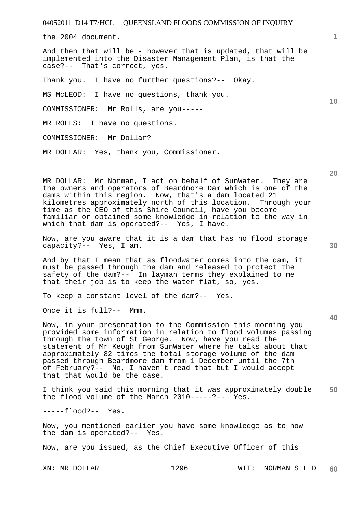the 2004 document.

And then that will be - however that is updated, that will be implemented into the Disaster Management Plan, is that the case?-- That's correct, yes.

Thank you. I have no further questions?-- Okay.

MS McLEOD: I have no questions, thank you.

COMMISSIONER: Mr Rolls, are you-----

MR ROLLS: I have no questions.

COMMISSIONER: Mr Dollar?

MR DOLLAR: Yes, thank you, Commissioner.

MR DOLLAR: Mr Norman, I act on behalf of SunWater. They are the owners and operators of Beardmore Dam which is one of the dams within this region. Now, that's a dam located 21 kilometres approximately north of this location. Through your time as the CEO of this Shire Council, have you become familiar or obtained some knowledge in relation to the way in which that dam is operated?-- Yes, I have.

Now, are you aware that it is a dam that has no flood storage capacity?-- Yes, I am.

And by that I mean that as floodwater comes into the dam, it must be passed through the dam and released to protect the safety of the dam?-- In layman terms they explained to me that their job is to keep the water flat, so, yes.

To keep a constant level of the dam?-- Yes.

Once it is full?-- Mmm.

Now, in your presentation to the Commission this morning you provided some information in relation to flood volumes passing through the town of St George. Now, have you read the statement of Mr Keogh from SunWater where he talks about that approximately 82 times the total storage volume of the dam passed through Beardmore dam from 1 December until the 7th of February?-- No, I haven't read that but I would accept that that would be the case.

**50**  I think you said this morning that it was approximately double the flood volume of the March 2010-----?-- Yes.

-----flood?-- Yes.

Now, you mentioned earlier you have some knowledge as to how the dam is operated?-- Yes.

Now, are you issued, as the Chief Executive Officer of this

XN: MR DOLLAR 1296 WIT: NORMAN S L D **60** 

**40** 

**20** 

**10**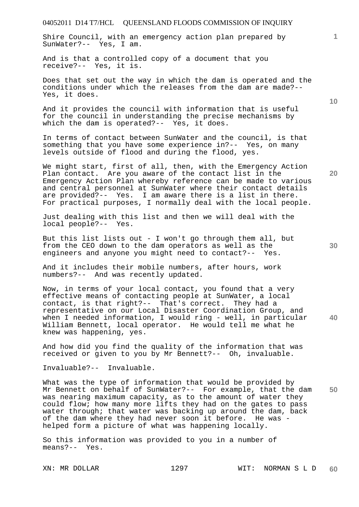Shire Council, with an emergency action plan prepared by SunWater?-- Yes, I am.

And is that a controlled copy of a document that you receive?-- Yes, it is.

Does that set out the way in which the dam is operated and the conditions under which the releases from the dam are made?-- Yes, it does.

And it provides the council with information that is useful for the council in understanding the precise mechanisms by which the dam is operated?-- Yes, it does.

In terms of contact between SunWater and the council, is that something that you have some experience in?-- Yes, on many levels outside of flood and during the flood, yes.

We might start, first of all, then, with the Emergency Action Plan contact. Are you aware of the contact list in the Emergency Action Plan whereby reference can be made to various and central personnel at SunWater where their contact details are provided?-- Yes. I am aware there is a list in there. For practical purposes, I normally deal with the local people.

Just dealing with this list and then we will deal with the local people?-- Yes.

But this list lists out - I won't go through them all, but from the CEO down to the dam operators as well as the engineers and anyone you might need to contact?-- Yes.

And it includes their mobile numbers, after hours, work numbers?-- And was recently updated.

**40**  Now, in terms of your local contact, you found that a very effective means of contacting people at SunWater, a local contact, is that right?-- That's correct. They had a representative on our Local Disaster Coordination Group, and when I needed information, I would ring - well, in particular William Bennett, local operator. He would tell me what he knew was happening, yes.

And how did you find the quality of the information that was received or given to you by Mr Bennett?-- Oh, invaluable.

Invaluable?-- Invaluable.

**50**  What was the type of information that would be provided by Mr Bennett on behalf of SunWater?-- For example, that the dam was nearing maximum capacity, as to the amount of water they could flow; how many more lifts they had on the gates to pass water through; that water was backing up around the dam, back of the dam where they had never soon it before. He was helped form a picture of what was happening locally.

So this information was provided to you in a number of means?-- Yes.

**30** 

**20** 

**1**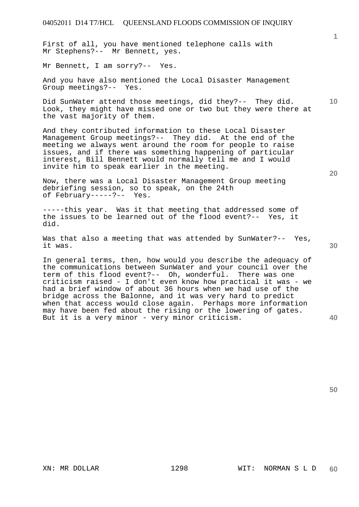First of all, you have mentioned telephone calls with Mr Stephens?-- Mr Bennett, yes.

Mr Bennett, I am sorry?-- Yes.

And you have also mentioned the Local Disaster Management Group meetings?-- Yes.

**10**  Did SunWater attend those meetings, did they?-- They did. Look, they might have missed one or two but they were there at the vast majority of them.

And they contributed information to these Local Disaster Management Group meetings?-- They did. At the end of the meeting we always went around the room for people to raise issues, and if there was something happening of particular interest, Bill Bennett would normally tell me and I would invite him to speak earlier in the meeting.

Now, there was a Local Disaster Management Group meeting debriefing session, so to speak, on the 24th of February-----?-- Yes.

-----this year. Was it that meeting that addressed some of the issues to be learned out of the flood event?-- Yes, it did.

Was that also a meeting that was attended by SunWater?-- Yes, it was.

In general terms, then, how would you describe the adequacy of the communications between SunWater and your council over the term of this flood event?-- Oh, wonderful. There was one criticism raised - I don't even know how practical it was - we had a brief window of about 36 hours when we had use of the bridge across the Balonne, and it was very hard to predict when that access would close again. Perhaps more information may have been fed about the rising or the lowering of gates. But it is a very minor - very minor criticism.

**30** 

**20** 

**1**

**40**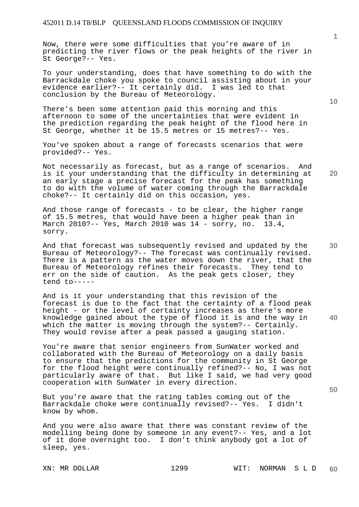Now, there were some difficulties that you're aware of in predicting the river flows or the peak heights of the river in St George?-- Yes.

To your understanding, does that have something to do with the Barrackdale choke you spoke to council assisting about in your evidence earlier?-- It certainly did. I was led to that conclusion by the Bureau of Meteorology.

There's been some attention paid this morning and this afternoon to some of the uncertainties that were evident in the prediction regarding the peak height of the flood here in St George, whether it be 15.5 metres or 15 metres?-- Yes.

You've spoken about a range of forecasts scenarios that were provided?-- Yes.

Not necessarily as forecast, but as a range of scenarios. And is it your understanding that the difficulty in determining at an early stage a precise forecast for the peak has something to do with the volume of water coming through the Barrackdale choke?-- It certainly did on this occasion, yes.

And those range of forecasts - to be clear, the higher range of 15.5 metres, that would have been a higher peak than in March 2010?-- Yes, March 2010 was 14 - sorry, no. 13.4, sorry.

And that forecast was subsequently revised and updated by the Bureau of Meteorology?-- The forecast was continually revised. There is a pattern as the water moves down the river, that the Bureau of Meteorology refines their forecasts. They tend to err on the side of caution. As the peak gets closer, they tend to-----

And is it your understanding that this revision of the forecast is due to the fact that the certainty of a flood peak height - or the level of certainty increases as there's more knowledge gained about the type of flood it is and the way in which the matter is moving through the system?-- Certainly. They would revise after a peak passed a gauging station.

You're aware that senior engineers from SunWater worked and collaborated with the Bureau of Meteorology on a daily basis to ensure that the predictions for the community in St George for the flood height were continually refined?-- No, I was not particularly aware of that. But like I said, we had very good cooperation with SunWater in every direction.

But you're aware that the rating tables coming out of the<br>Barrackdale choke were continually revised?-- Yes. I didn't Barrackdale choke were continually revised?-- Yes. know by whom.

And you were also aware that there was constant review of the modelling being done by someone in any event?-- Yes, and a lot of it done overnight too. I don't think anybody got a lot of sleep, yes.

**10** 

**1**

**30** 

**20** 

**40**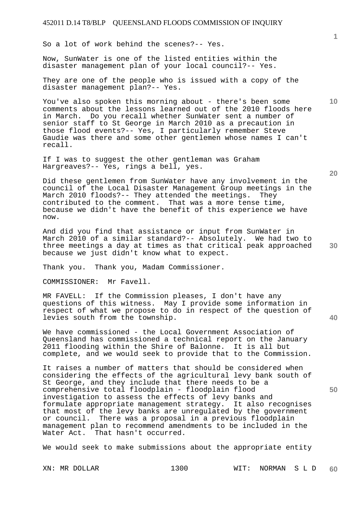So a lot of work behind the scenes?-- Yes.

Now, SunWater is one of the listed entities within the disaster management plan of your local council?-- Yes.

They are one of the people who is issued with a copy of the disaster management plan?-- Yes.

You've also spoken this morning about - there's been some comments about the lessons learned out of the 2010 floods here in March. Do you recall whether SunWater sent a number of senior staff to St George in March 2010 as a precaution in those flood events?-- Yes, I particularly remember Steve Gaudie was there and some other gentlemen whose names I can't recall.

If I was to suggest the other gentleman was Graham Hargreaves?-- Yes, rings a bell, yes.

Did these gentlemen from SunWater have any involvement in the council of the Local Disaster Management Group meetings in the March 2010 floods?-- They attended the meetings. They contributed to the comment. That was a more tense time, because we didn't have the benefit of this experience we have now.

And did you find that assistance or input from SunWater in March 2010 of a similar standard?-- Absolutely. We had two to three meetings a day at times as that critical peak approached because we just didn't know what to expect.

Thank you. Thank you, Madam Commissioner.

COMMISSIONER: Mr Favell.

MR FAVELL: If the Commission pleases, I don't have any questions of this witness. May I provide some information in respect of what we propose to do in respect of the question of levies south from the township.

We have commissioned - the Local Government Association of Queensland has commissioned a technical report on the January 2011 flooding within the Shire of Balonne. It is all but complete, and we would seek to provide that to the Commission.

It raises a number of matters that should be considered when considering the effects of the agricultural levy bank south of St George, and they include that there needs to be a comprehensive total floodplain - floodplain flood investigation to assess the effects of levy banks and formulate appropriate management strategy. It also recognises that most of the levy banks are unregulated by the government or council. There was a proposal in a previous floodplain management plan to recommend amendments to be included in the Water Act. That hasn't occurred.

We would seek to make submissions about the appropriate entity

XN: MR DOLLAR 1300 WIT: NORMAN S L D **60** 

**20** 

**40** 

**50** 

**10**